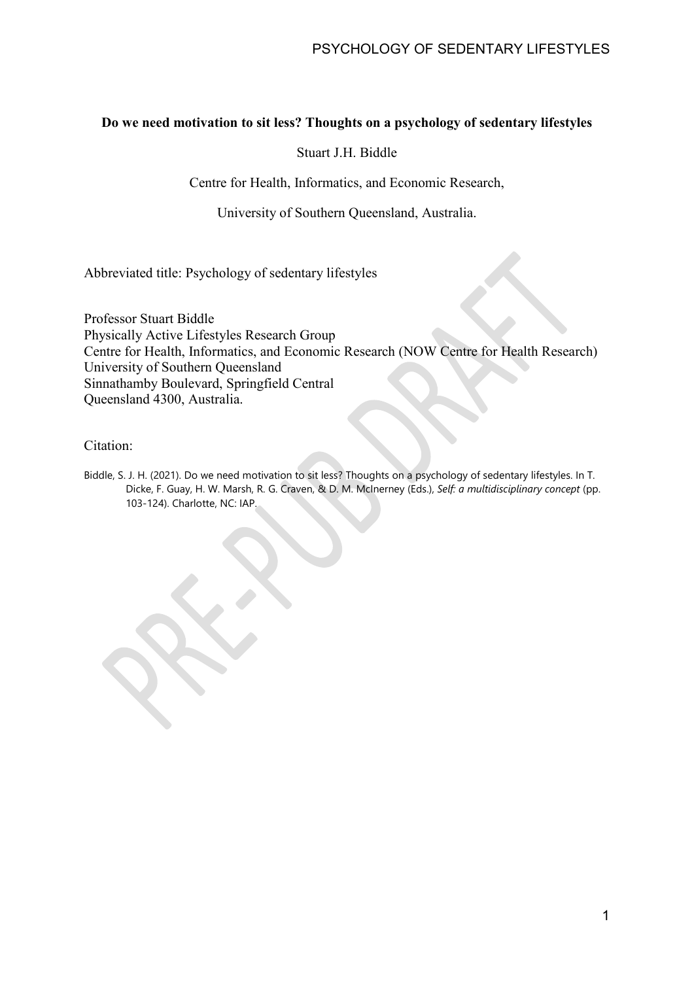# **Do we need motivation to sit less? Thoughts on a psychology of sedentary lifestyles**

Stuart J.H. Biddle

Centre for Health, Informatics, and Economic Research,

University of Southern Queensland, Australia.

Abbreviated title: Psychology of sedentary lifestyles

Professor Stuart Biddle Physically Active Lifestyles Research Group Centre for Health, Informatics, and Economic Research (NOW Centre for Health Research) University of Southern Queensland Sinnathamby Boulevard, Springfield Central Queensland 4300, Australia.

## Citation:

Biddle, S. J. H. (2021). Do we need motivation to sit less? Thoughts on a psychology of sedentary lifestyles. In T. Dicke, F. Guay, H. W. Marsh, R. G. Craven, & D. M. McInerney (Eds.), *Self: a multidisciplinary concept* (pp. 103-124). Charlotte, NC: IAP.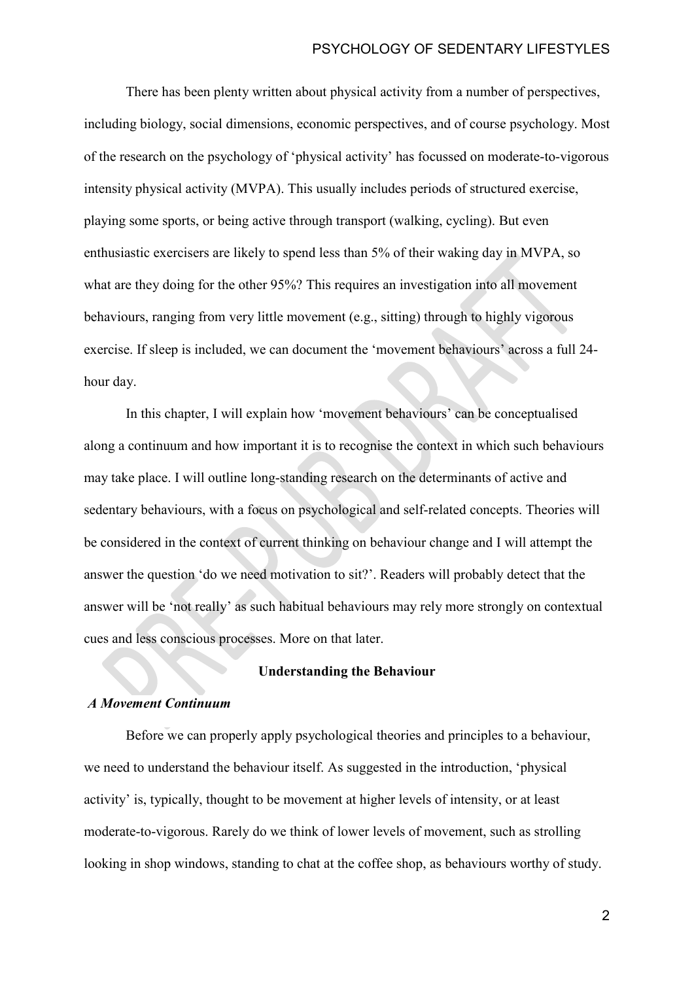There has been plenty written about physical activity from a number of perspectives, including biology, social dimensions, economic perspectives, and of course psychology. Most of the research on the psychology of 'physical activity' has focussed on moderate-to-vigorous intensity physical activity (MVPA). This usually includes periods of structured exercise, playing some sports, or being active through transport (walking, cycling). But even enthusiastic exercisers are likely to spend less than 5% of their waking day in MVPA, so what are they doing for the other 95%? This requires an investigation into all movement behaviours, ranging from very little movement (e.g., sitting) through to highly vigorous exercise. If sleep is included, we can document the 'movement behaviours' across a full 24 hour day.

In this chapter, I will explain how 'movement behaviours' can be conceptualised along a continuum and how important it is to recognise the context in which such behaviours may take place. I will outline long-standing research on the determinants of active and sedentary behaviours, with a focus on psychological and self-related concepts. Theories will be considered in the context of current thinking on behaviour change and I will attempt the answer the question 'do we need motivation to sit?'. Readers will probably detect that the answer will be 'not really' as such habitual behaviours may rely more strongly on contextual cues and less conscious processes. More on that later.

## **Understanding the Behaviour**

#### *A Movement Continuum*

Before we can properly apply psychological theories and principles to a behaviour, we need to understand the behaviour itself. As suggested in the introduction, 'physical activity' is, typically, thought to be movement at higher levels of intensity, or at least moderate-to-vigorous. Rarely do we think of lower levels of movement, such as strolling looking in shop windows, standing to chat at the coffee shop, as behaviours worthy of study.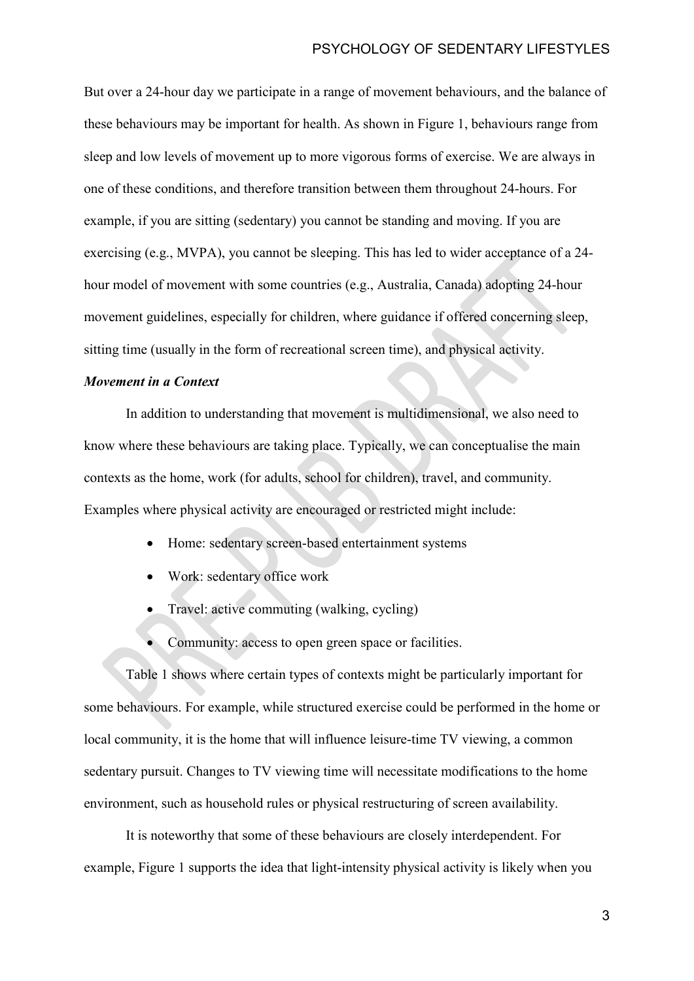But over a 24-hour day we participate in a range of movement behaviours, and the balance of these behaviours may be important for health. As shown in Figure 1, behaviours range from sleep and low levels of movement up to more vigorous forms of exercise. We are always in one of these conditions, and therefore transition between them throughout 24-hours. For example, if you are sitting (sedentary) you cannot be standing and moving. If you are exercising (e.g., MVPA), you cannot be sleeping. This has led to wider acceptance of a 24 hour model of movement with some countries (e.g., Australia, Canada) adopting 24-hour movement guidelines, especially for children, where guidance if offered concerning sleep, sitting time (usually in the form of recreational screen time), and physical activity.

## *Movement in a Context*

In addition to understanding that movement is multidimensional, we also need to know where these behaviours are taking place. Typically, we can conceptualise the main contexts as the home, work (for adults, school for children), travel, and community. Examples where physical activity are encouraged or restricted might include:

- Home: sedentary screen-based entertainment systems
- Work: sedentary office work
- Travel: active commuting (walking, cycling)
- Community: access to open green space or facilities.

Table 1 shows where certain types of contexts might be particularly important for some behaviours. For example, while structured exercise could be performed in the home or local community, it is the home that will influence leisure-time TV viewing, a common sedentary pursuit. Changes to TV viewing time will necessitate modifications to the home environment, such as household rules or physical restructuring of screen availability.

It is noteworthy that some of these behaviours are closely interdependent. For example, Figure 1 supports the idea that light-intensity physical activity is likely when you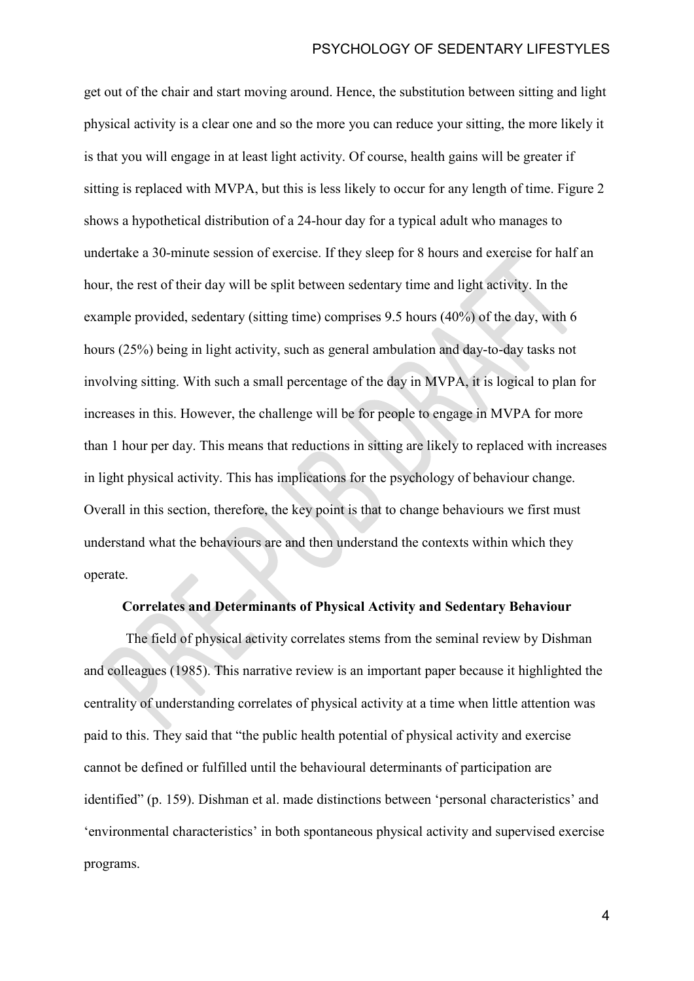get out of the chair and start moving around. Hence, the substitution between sitting and light physical activity is a clear one and so the more you can reduce your sitting, the more likely it is that you will engage in at least light activity. Of course, health gains will be greater if sitting is replaced with MVPA, but this is less likely to occur for any length of time. Figure 2 shows a hypothetical distribution of a 24-hour day for a typical adult who manages to undertake a 30-minute session of exercise. If they sleep for 8 hours and exercise for half an hour, the rest of their day will be split between sedentary time and light activity. In the example provided, sedentary (sitting time) comprises 9.5 hours (40%) of the day, with 6 hours (25%) being in light activity, such as general ambulation and day-to-day tasks not involving sitting. With such a small percentage of the day in MVPA, it is logical to plan for increases in this. However, the challenge will be for people to engage in MVPA for more than 1 hour per day. This means that reductions in sitting are likely to replaced with increases in light physical activity. This has implications for the psychology of behaviour change. Overall in this section, therefore, the key point is that to change behaviours we first must understand what the behaviours are and then understand the contexts within which they operate.

# **Correlates and Determinants of Physical Activity and Sedentary Behaviour**

The field of physical activity correlates stems from the seminal review by Dishman and colleagues (1985). This narrative review is an important paper because it highlighted the centrality of understanding correlates of physical activity at a time when little attention was paid to this. They said that "the public health potential of physical activity and exercise cannot be defined or fulfilled until the behavioural determinants of participation are identified" (p. 159). Dishman et al. made distinctions between 'personal characteristics' and 'environmental characteristics' in both spontaneous physical activity and supervised exercise programs.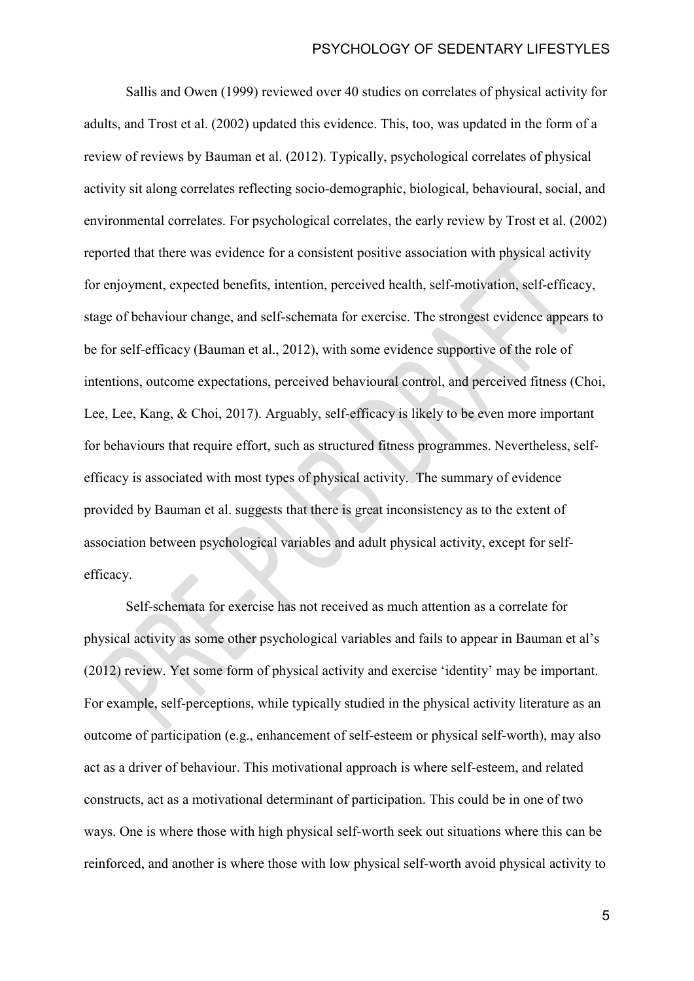Sallis and Owen (1999) reviewed over 40 studies on correlates of physical activity for adults, and Trost et al. (2002) updated this evidence. This, too, was updated in the form of a review of reviews by Bauman et al. (2012). Typically, psychological correlates of physical activity sit along correlates reflecting socio-demographic, biological, behavioural, social, and environmental correlates. For psychological correlates, the early review by Trost et al. (2002) reported that there was evidence for a consistent positive association with physical activity for enjoyment, expected benefits, intention, perceived health, self-motivation, self-efficacy, stage of behaviour change, and self-schemata for exercise. The strongest evidence appears to be for self-efficacy (Bauman et al., 2012), with some evidence supportive of the role of intentions, outcome expectations, perceived behavioural control, and perceived fitness (Choi, Lee, Lee, Kang, & Choi, 2017). Arguably, self-efficacy is likely to be even more important for behaviours that require effort, such as structured fitness programmes. Nevertheless, selfefficacy is associated with most types of physical activity. The summary of evidence provided by Bauman et al. suggests that there is great inconsistency as to the extent of association between psychological variables and adult physical activity, except for selfefficacy.

Self-schemata for exercise has not received as much attention as a correlate for physical activity as some other psychological variables and fails to appear in Bauman et al's (2012) review. Yet some form of physical activity and exercise 'identity' may be important. For example, self-perceptions, while typically studied in the physical activity literature as an outcome of participation (e.g., enhancement of self-esteem or physical self-worth), may also act as a driver of behaviour. This motivational approach is where self-esteem, and related constructs, act as a motivational determinant of participation. This could be in one of two ways. One is where those with high physical self-worth seek out situations where this can be reinforced, and another is where those with low physical self-worth avoid physical activity to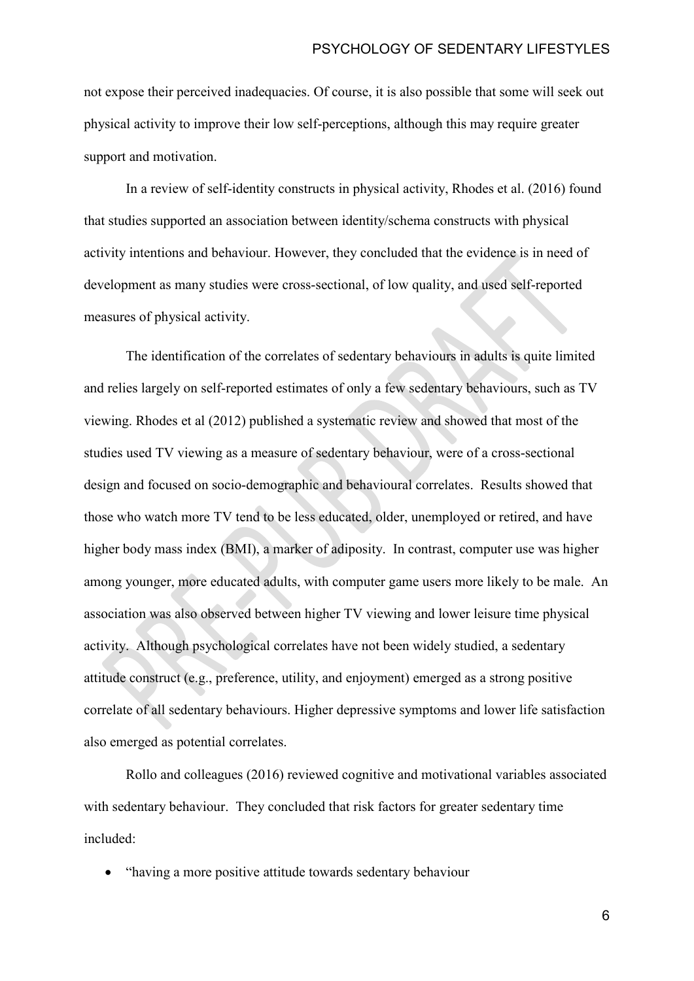not expose their perceived inadequacies. Of course, it is also possible that some will seek out physical activity to improve their low self-perceptions, although this may require greater support and motivation.

In a review of self-identity constructs in physical activity, Rhodes et al. (2016) found that studies supported an association between identity/schema constructs with physical activity intentions and behaviour. However, they concluded that the evidence is in need of development as many studies were cross-sectional, of low quality, and used self-reported measures of physical activity.

The identification of the correlates of sedentary behaviours in adults is quite limited and relies largely on self-reported estimates of only a few sedentary behaviours, such as TV viewing. Rhodes et al (2012) published a systematic review and showed that most of the studies used TV viewing as a measure of sedentary behaviour, were of a cross-sectional design and focused on socio-demographic and behavioural correlates. Results showed that those who watch more TV tend to be less educated, older, unemployed or retired, and have higher body mass index (BMI), a marker of adiposity. In contrast, computer use was higher among younger, more educated adults, with computer game users more likely to be male. An association was also observed between higher TV viewing and lower leisure time physical activity. Although psychological correlates have not been widely studied, a sedentary attitude construct (e.g., preference, utility, and enjoyment) emerged as a strong positive correlate of all sedentary behaviours. Higher depressive symptoms and lower life satisfaction also emerged as potential correlates.

Rollo and colleagues (2016) reviewed cognitive and motivational variables associated with sedentary behaviour. They concluded that risk factors for greater sedentary time included:

• "having a more positive attitude towards sedentary behaviour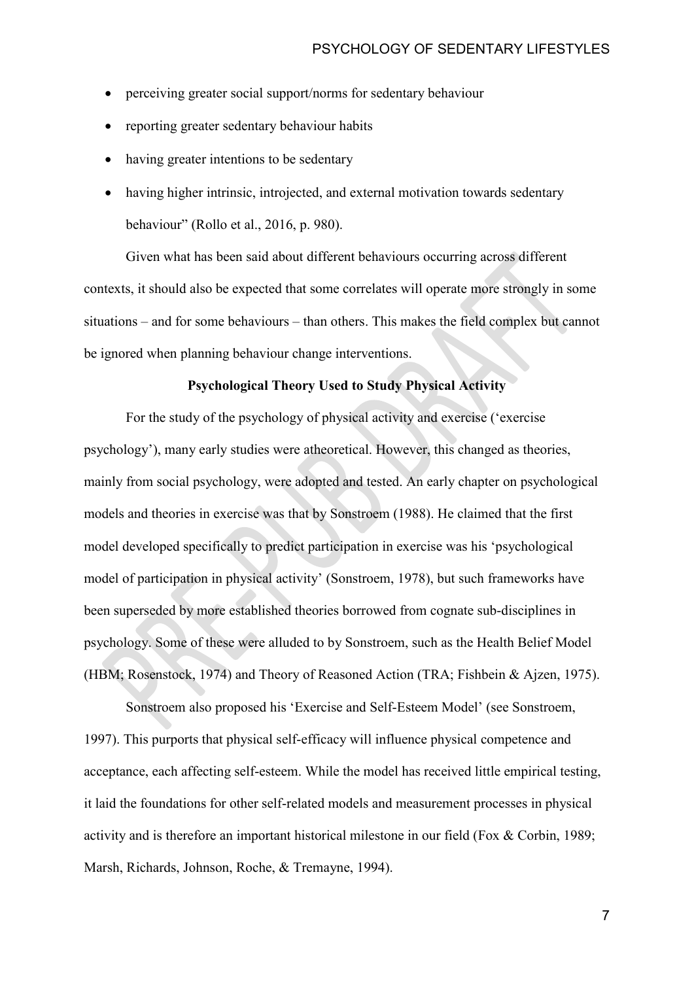- perceiving greater social support/norms for sedentary behaviour
- reporting greater sedentary behaviour habits
- having greater intentions to be sedentary
- having higher intrinsic, introjected, and external motivation towards sedentary behaviour" (Rollo et al., 2016, p. 980).

Given what has been said about different behaviours occurring across different contexts, it should also be expected that some correlates will operate more strongly in some situations – and for some behaviours – than others. This makes the field complex but cannot be ignored when planning behaviour change interventions.

#### **Psychological Theory Used to Study Physical Activity**

For the study of the psychology of physical activity and exercise ('exercise psychology'), many early studies were atheoretical. However, this changed as theories, mainly from social psychology, were adopted and tested. An early chapter on psychological models and theories in exercise was that by Sonstroem (1988). He claimed that the first model developed specifically to predict participation in exercise was his 'psychological model of participation in physical activity' (Sonstroem, 1978), but such frameworks have been superseded by more established theories borrowed from cognate sub-disciplines in psychology. Some of these were alluded to by Sonstroem, such as the Health Belief Model (HBM; Rosenstock, 1974) and Theory of Reasoned Action (TRA; Fishbein & Ajzen, 1975).

Sonstroem also proposed his 'Exercise and Self-Esteem Model' (see Sonstroem, 1997). This purports that physical self-efficacy will influence physical competence and acceptance, each affecting self-esteem. While the model has received little empirical testing, it laid the foundations for other self-related models and measurement processes in physical activity and is therefore an important historical milestone in our field (Fox & Corbin, 1989; Marsh, Richards, Johnson, Roche, & Tremayne, 1994).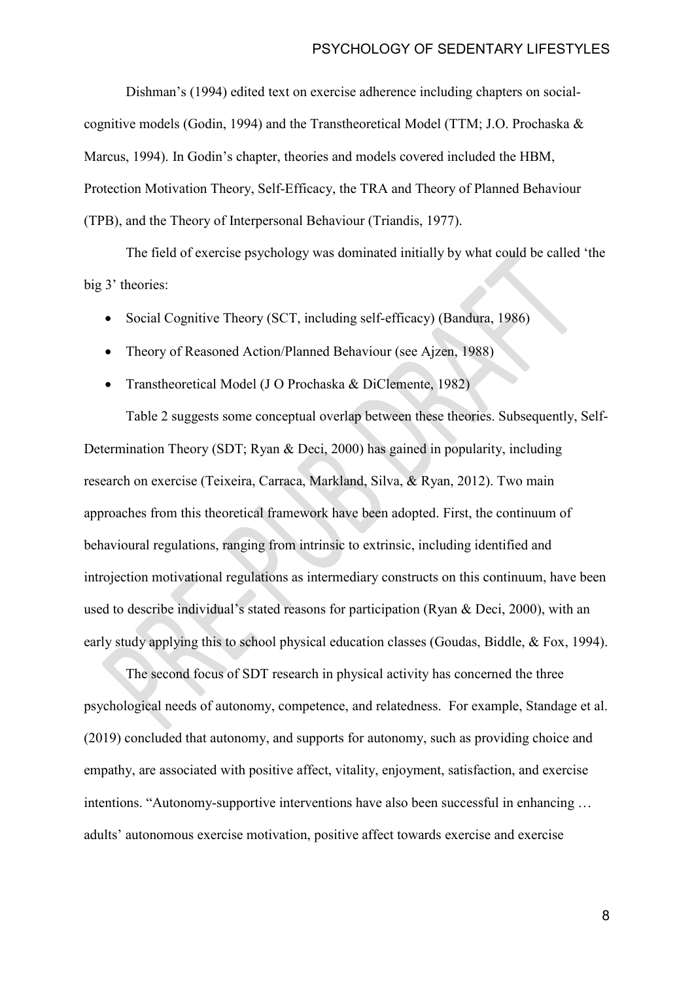Dishman's (1994) edited text on exercise adherence including chapters on socialcognitive models (Godin, 1994) and the Transtheoretical Model (TTM; J.O. Prochaska & Marcus, 1994). In Godin's chapter, theories and models covered included the HBM, Protection Motivation Theory, Self-Efficacy, the TRA and Theory of Planned Behaviour (TPB), and the Theory of Interpersonal Behaviour (Triandis, 1977).

The field of exercise psychology was dominated initially by what could be called 'the big 3' theories:

- Social Cognitive Theory (SCT, including self-efficacy) (Bandura, 1986)
- Theory of Reasoned Action/Planned Behaviour (see Aizen, 1988)
- Transtheoretical Model (J O Prochaska & DiClemente, 1982)

Table 2 suggests some conceptual overlap between these theories. Subsequently, Self-Determination Theory (SDT; Ryan & Deci, 2000) has gained in popularity, including research on exercise (Teixeira, Carraca, Markland, Silva, & Ryan, 2012). Two main approaches from this theoretical framework have been adopted. First, the continuum of behavioural regulations, ranging from intrinsic to extrinsic, including identified and introjection motivational regulations as intermediary constructs on this continuum, have been used to describe individual's stated reasons for participation (Ryan & Deci, 2000), with an early study applying this to school physical education classes (Goudas, Biddle, & Fox, 1994).

The second focus of SDT research in physical activity has concerned the three psychological needs of autonomy, competence, and relatedness. For example, Standage et al. (2019) concluded that autonomy, and supports for autonomy, such as providing choice and empathy, are associated with positive affect, vitality, enjoyment, satisfaction, and exercise intentions. "Autonomy-supportive interventions have also been successful in enhancing … adults' autonomous exercise motivation, positive affect towards exercise and exercise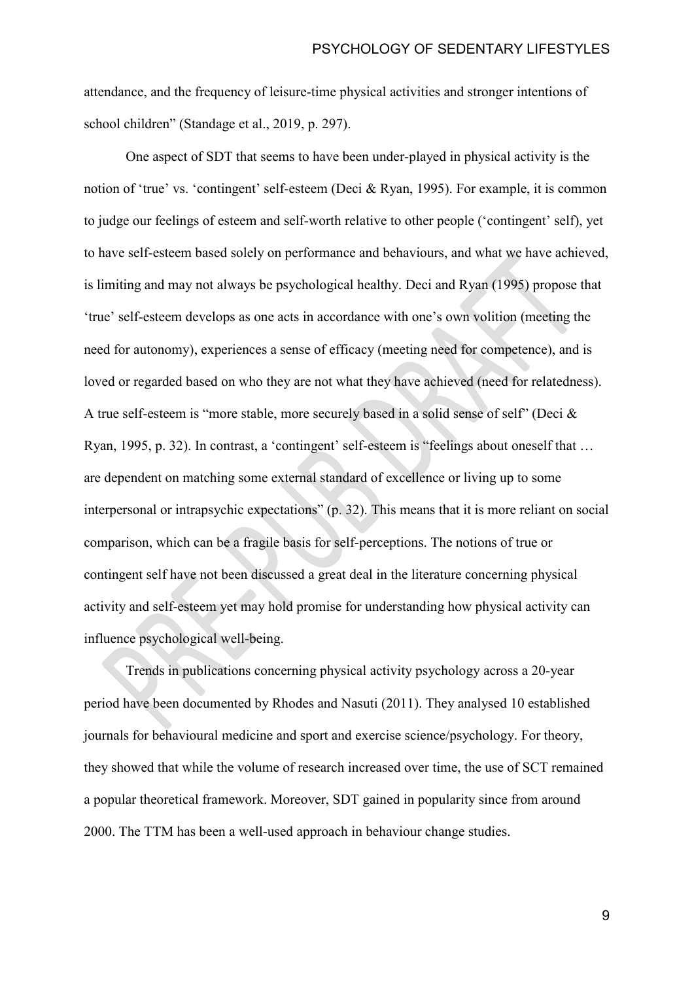attendance, and the frequency of leisure-time physical activities and stronger intentions of school children" (Standage et al., 2019, p. 297).

One aspect of SDT that seems to have been under-played in physical activity is the notion of 'true' vs. 'contingent' self-esteem (Deci & Ryan, 1995). For example, it is common to judge our feelings of esteem and self-worth relative to other people ('contingent' self), yet to have self-esteem based solely on performance and behaviours, and what we have achieved, is limiting and may not always be psychological healthy. Deci and Ryan (1995) propose that 'true' self-esteem develops as one acts in accordance with one's own volition (meeting the need for autonomy), experiences a sense of efficacy (meeting need for competence), and is loved or regarded based on who they are not what they have achieved (need for relatedness). A true self-esteem is "more stable, more securely based in a solid sense of self" (Deci & Ryan, 1995, p. 32). In contrast, a 'contingent' self-esteem is "feelings about oneself that … are dependent on matching some external standard of excellence or living up to some interpersonal or intrapsychic expectations" (p. 32). This means that it is more reliant on social comparison, which can be a fragile basis for self-perceptions. The notions of true or contingent self have not been discussed a great deal in the literature concerning physical activity and self-esteem yet may hold promise for understanding how physical activity can influence psychological well-being.

Trends in publications concerning physical activity psychology across a 20-year period have been documented by Rhodes and Nasuti (2011). They analysed 10 established journals for behavioural medicine and sport and exercise science/psychology. For theory, they showed that while the volume of research increased over time, the use of SCT remained a popular theoretical framework. Moreover, SDT gained in popularity since from around 2000. The TTM has been a well-used approach in behaviour change studies.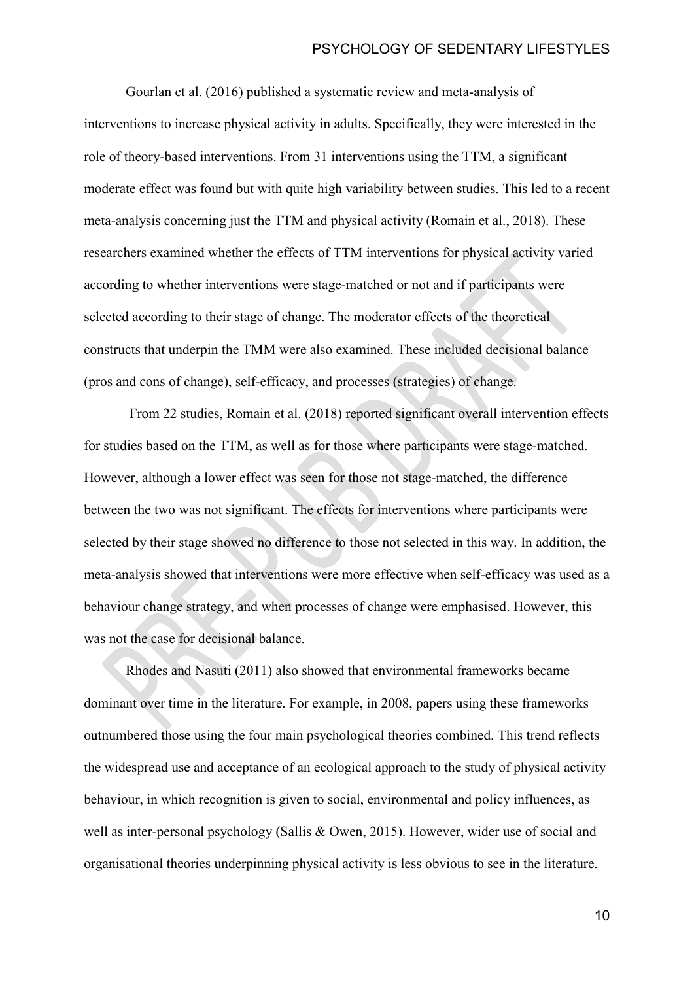### PSYCHOLOGY OF SEDENTARY LIFESTYLES

Gourlan et al. (2016) published a systematic review and meta-analysis of interventions to increase physical activity in adults. Specifically, they were interested in the role of theory-based interventions. From 31 interventions using the TTM, a significant moderate effect was found but with quite high variability between studies. This led to a recent meta-analysis concerning just the TTM and physical activity (Romain et al., 2018). These researchers examined whether the effects of TTM interventions for physical activity varied according to whether interventions were stage-matched or not and if participants were selected according to their stage of change. The moderator effects of the theoretical constructs that underpin the TMM were also examined. These included decisional balance (pros and cons of change), self-efficacy, and processes (strategies) of change.

From 22 studies, Romain et al. (2018) reported significant overall intervention effects for studies based on the TTM, as well as for those where participants were stage-matched. However, although a lower effect was seen for those not stage-matched, the difference between the two was not significant. The effects for interventions where participants were selected by their stage showed no difference to those not selected in this way. In addition, the meta-analysis showed that interventions were more effective when self-efficacy was used as a behaviour change strategy, and when processes of change were emphasised. However, this was not the case for decisional balance.

Rhodes and Nasuti (2011) also showed that environmental frameworks became dominant over time in the literature. For example, in 2008, papers using these frameworks outnumbered those using the four main psychological theories combined. This trend reflects the widespread use and acceptance of an ecological approach to the study of physical activity behaviour, in which recognition is given to social, environmental and policy influences, as well as inter-personal psychology (Sallis & Owen, 2015). However, wider use of social and organisational theories underpinning physical activity is less obvious to see in the literature.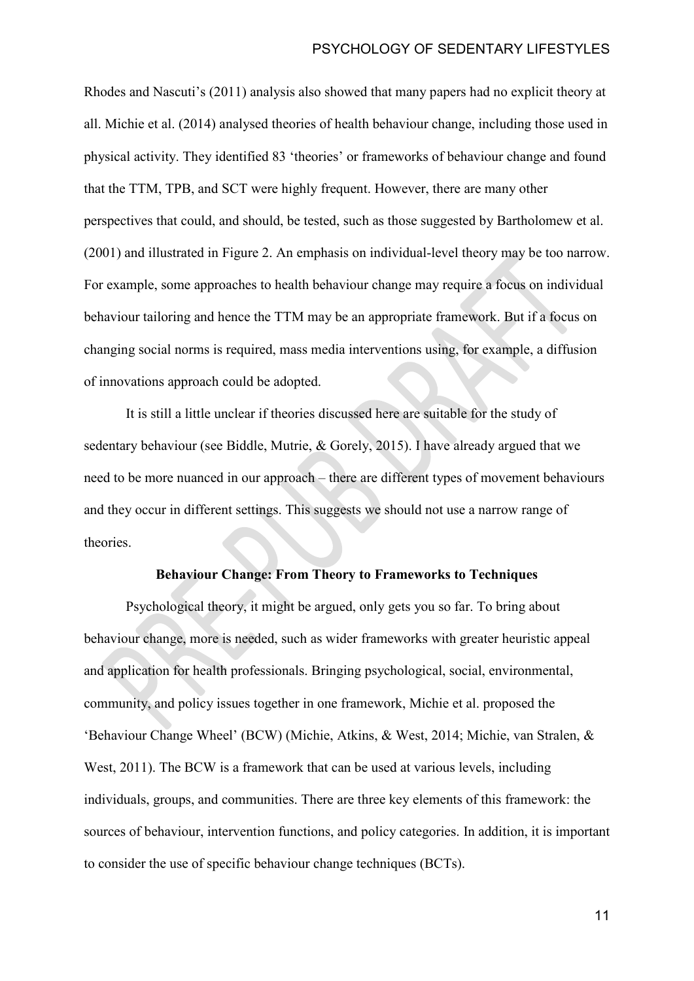Rhodes and Nascuti's (2011) analysis also showed that many papers had no explicit theory at all. Michie et al. (2014) analysed theories of health behaviour change, including those used in physical activity. They identified 83 'theories' or frameworks of behaviour change and found that the TTM, TPB, and SCT were highly frequent. However, there are many other perspectives that could, and should, be tested, such as those suggested by Bartholomew et al. (2001) and illustrated in Figure 2. An emphasis on individual-level theory may be too narrow. For example, some approaches to health behaviour change may require a focus on individual behaviour tailoring and hence the TTM may be an appropriate framework. But if a focus on changing social norms is required, mass media interventions using, for example, a diffusion of innovations approach could be adopted.

It is still a little unclear if theories discussed here are suitable for the study of sedentary behaviour (see Biddle, Mutrie, & Gorely, 2015). I have already argued that we need to be more nuanced in our approach – there are different types of movement behaviours and they occur in different settings. This suggests we should not use a narrow range of theories.

#### **Behaviour Change: From Theory to Frameworks to Techniques**

Psychological theory, it might be argued, only gets you so far. To bring about behaviour change, more is needed, such as wider frameworks with greater heuristic appeal and application for health professionals. Bringing psychological, social, environmental, community, and policy issues together in one framework, Michie et al. proposed the 'Behaviour Change Wheel' (BCW) (Michie, Atkins, & West, 2014; Michie, van Stralen, & West, 2011). The BCW is a framework that can be used at various levels, including individuals, groups, and communities. There are three key elements of this framework: the sources of behaviour, intervention functions, and policy categories. In addition, it is important to consider the use of specific behaviour change techniques (BCTs).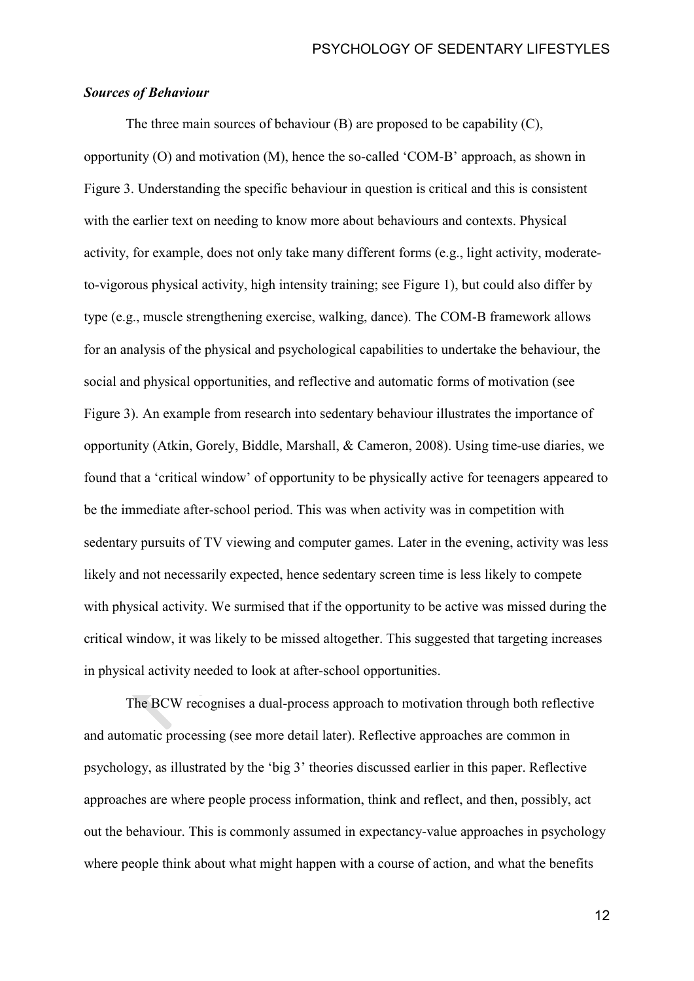### *Sources of Behaviour*

The three main sources of behaviour (B) are proposed to be capability (C), opportunity (O) and motivation (M), hence the so-called 'COM-B' approach, as shown in Figure 3. Understanding the specific behaviour in question is critical and this is consistent with the earlier text on needing to know more about behaviours and contexts. Physical activity, for example, does not only take many different forms (e.g., light activity, moderateto-vigorous physical activity, high intensity training; see Figure 1), but could also differ by type (e.g., muscle strengthening exercise, walking, dance). The COM-B framework allows for an analysis of the physical and psychological capabilities to undertake the behaviour, the social and physical opportunities, and reflective and automatic forms of motivation (see Figure 3). An example from research into sedentary behaviour illustrates the importance of opportunity (Atkin, Gorely, Biddle, Marshall, & Cameron, 2008). Using time-use diaries, we found that a 'critical window' of opportunity to be physically active for teenagers appeared to be the immediate after-school period. This was when activity was in competition with sedentary pursuits of TV viewing and computer games. Later in the evening, activity was less likely and not necessarily expected, hence sedentary screen time is less likely to compete with physical activity. We surmised that if the opportunity to be active was missed during the critical window, it was likely to be missed altogether. This suggested that targeting increases in physical activity needed to look at after-school opportunities.

The BCW recognises a dual-process approach to motivation through both reflective and automatic processing (see more detail later). Reflective approaches are common in psychology, as illustrated by the 'big 3' theories discussed earlier in this paper. Reflective approaches are where people process information, think and reflect, and then, possibly, act out the behaviour. This is commonly assumed in expectancy-value approaches in psychology where people think about what might happen with a course of action, and what the benefits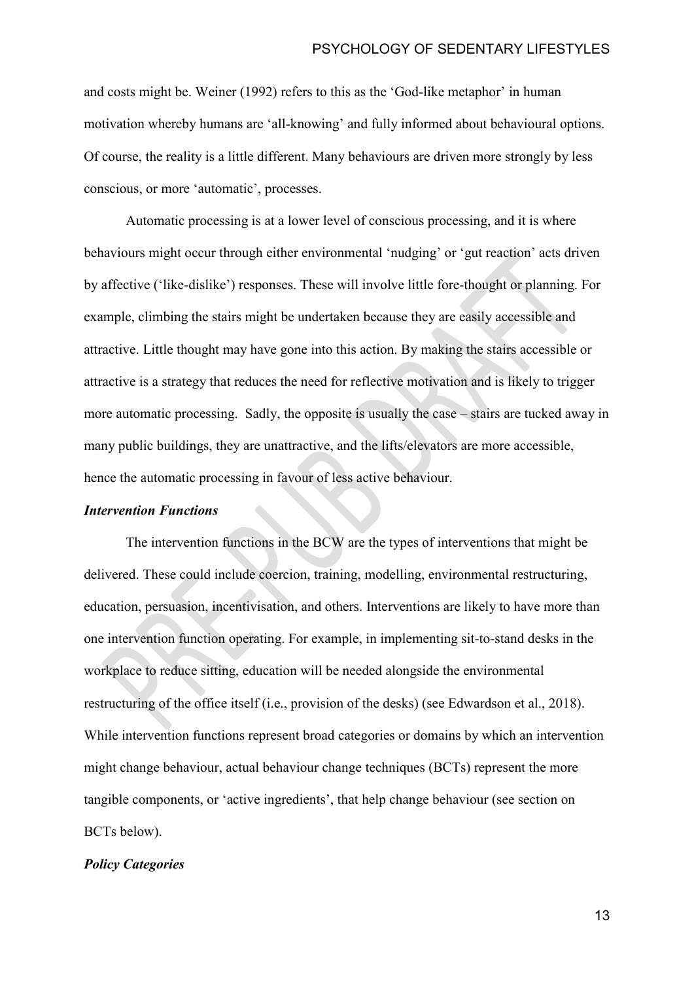and costs might be. Weiner (1992) refers to this as the 'God-like metaphor' in human motivation whereby humans are 'all-knowing' and fully informed about behavioural options. Of course, the reality is a little different. Many behaviours are driven more strongly by less conscious, or more 'automatic', processes.

Automatic processing is at a lower level of conscious processing, and it is where behaviours might occur through either environmental 'nudging' or 'gut reaction' acts driven by affective ('like-dislike') responses. These will involve little fore-thought or planning. For example, climbing the stairs might be undertaken because they are easily accessible and attractive. Little thought may have gone into this action. By making the stairs accessible or attractive is a strategy that reduces the need for reflective motivation and is likely to trigger more automatic processing. Sadly, the opposite is usually the case – stairs are tucked away in many public buildings, they are unattractive, and the lifts/elevators are more accessible, hence the automatic processing in favour of less active behaviour.

#### *Intervention Functions*

The intervention functions in the BCW are the types of interventions that might be delivered. These could include coercion, training, modelling, environmental restructuring, education, persuasion, incentivisation, and others. Interventions are likely to have more than one intervention function operating. For example, in implementing sit-to-stand desks in the workplace to reduce sitting, education will be needed alongside the environmental restructuring of the office itself (i.e., provision of the desks) (see Edwardson et al., 2018). While intervention functions represent broad categories or domains by which an intervention might change behaviour, actual behaviour change techniques (BCTs) represent the more tangible components, or 'active ingredients', that help change behaviour (see section on BCTs below).

### *Policy Categories*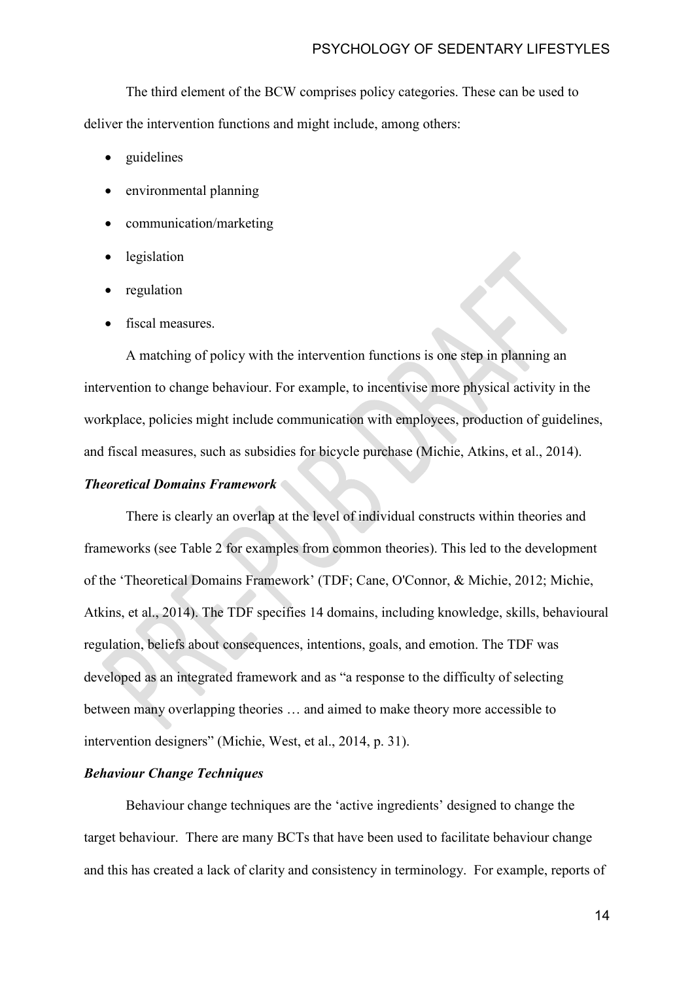The third element of the BCW comprises policy categories. These can be used to deliver the intervention functions and might include, among others:

- guidelines
- environmental planning
- communication/marketing
- legislation
- regulation
- fiscal measures.

A matching of policy with the intervention functions is one step in planning an intervention to change behaviour. For example, to incentivise more physical activity in the workplace, policies might include communication with employees, production of guidelines, and fiscal measures, such as subsidies for bicycle purchase (Michie, Atkins, et al., 2014).

## *Theoretical Domains Framework*

There is clearly an overlap at the level of individual constructs within theories and frameworks (see Table 2 for examples from common theories). This led to the development of the 'Theoretical Domains Framework' (TDF; Cane, O'Connor, & Michie, 2012; Michie, Atkins, et al., 2014). The TDF specifies 14 domains, including knowledge, skills, behavioural regulation, beliefs about consequences, intentions, goals, and emotion. The TDF was developed as an integrated framework and as "a response to the difficulty of selecting between many overlapping theories … and aimed to make theory more accessible to intervention designers" (Michie, West, et al., 2014, p. 31).

# *Behaviour Change Techniques*

Behaviour change techniques are the 'active ingredients' designed to change the target behaviour. There are many BCTs that have been used to facilitate behaviour change and this has created a lack of clarity and consistency in terminology. For example, reports of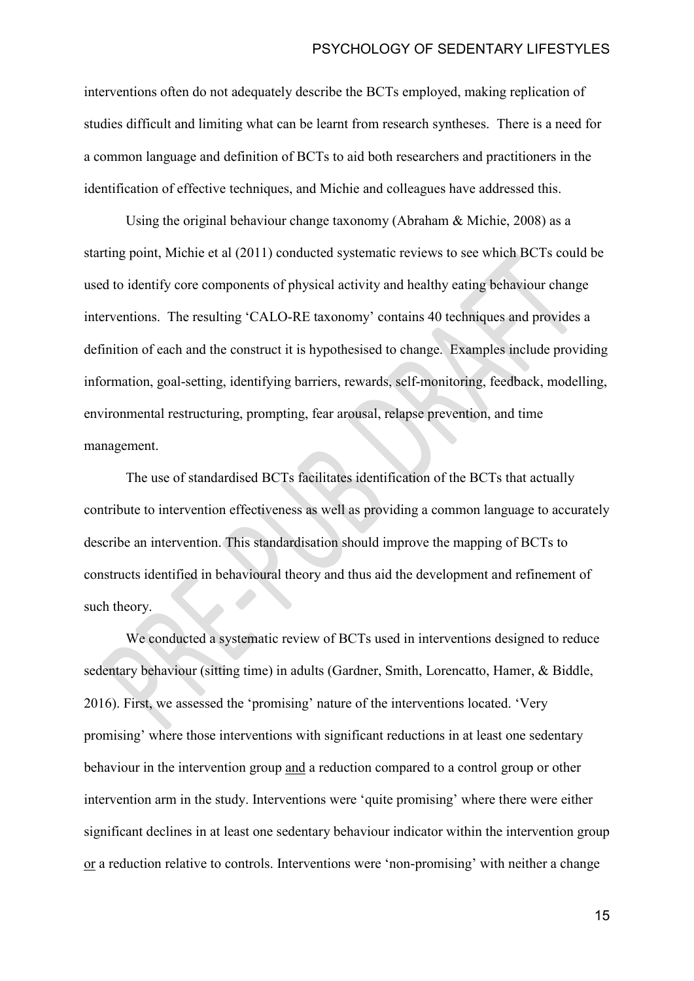interventions often do not adequately describe the BCTs employed, making replication of studies difficult and limiting what can be learnt from research syntheses. There is a need for a common language and definition of BCTs to aid both researchers and practitioners in the identification of effective techniques, and Michie and colleagues have addressed this.

Using the original behaviour change taxonomy (Abraham & Michie, 2008) as a starting point, Michie et al (2011) conducted systematic reviews to see which BCTs could be used to identify core components of physical activity and healthy eating behaviour change interventions. The resulting 'CALO-RE taxonomy' contains 40 techniques and provides a definition of each and the construct it is hypothesised to change. Examples include providing information, goal-setting, identifying barriers, rewards, self-monitoring, feedback, modelling, environmental restructuring, prompting, fear arousal, relapse prevention, and time management.

The use of standardised BCTs facilitates identification of the BCTs that actually contribute to intervention effectiveness as well as providing a common language to accurately describe an intervention. This standardisation should improve the mapping of BCTs to constructs identified in behavioural theory and thus aid the development and refinement of such theory.

We conducted a systematic review of BCTs used in interventions designed to reduce sedentary behaviour (sitting time) in adults (Gardner, Smith, Lorencatto, Hamer, & Biddle, 2016). First, we assessed the 'promising' nature of the interventions located. 'Very promising' where those interventions with significant reductions in at least one sedentary behaviour in the intervention group and a reduction compared to a control group or other intervention arm in the study. Interventions were 'quite promising' where there were either significant declines in at least one sedentary behaviour indicator within the intervention group or a reduction relative to controls. Interventions were 'non-promising' with neither a change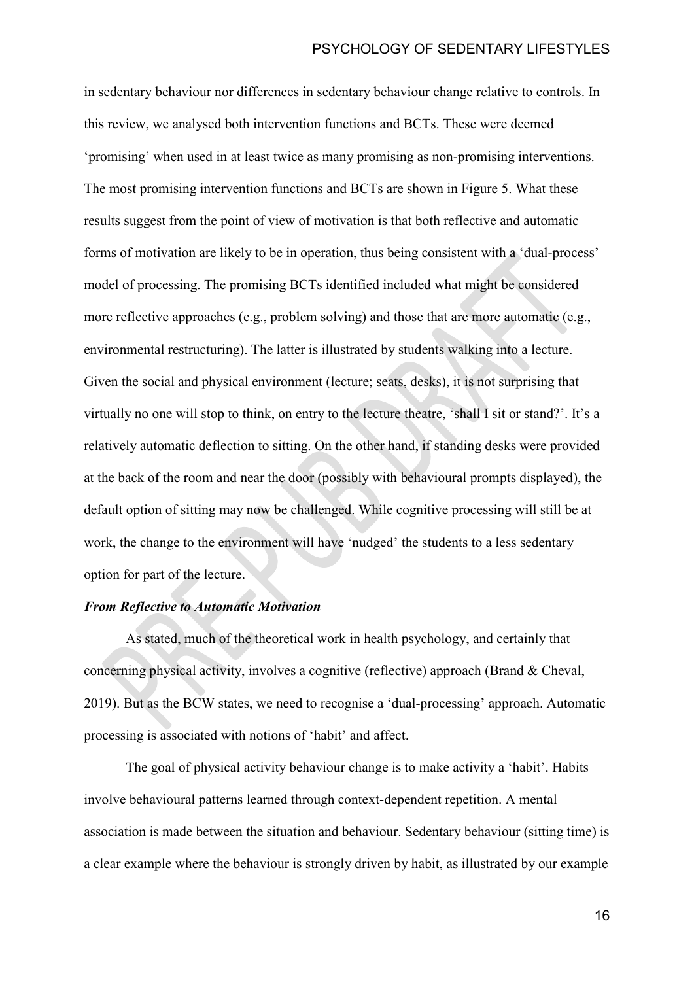in sedentary behaviour nor differences in sedentary behaviour change relative to controls. In this review, we analysed both intervention functions and BCTs. These were deemed 'promising' when used in at least twice as many promising as non-promising interventions. The most promising intervention functions and BCTs are shown in Figure 5. What these results suggest from the point of view of motivation is that both reflective and automatic forms of motivation are likely to be in operation, thus being consistent with a 'dual-process' model of processing. The promising BCTs identified included what might be considered more reflective approaches (e.g., problem solving) and those that are more automatic (e.g., environmental restructuring). The latter is illustrated by students walking into a lecture. Given the social and physical environment (lecture; seats, desks), it is not surprising that virtually no one will stop to think, on entry to the lecture theatre, 'shall I sit or stand?'. It's a relatively automatic deflection to sitting. On the other hand, if standing desks were provided at the back of the room and near the door (possibly with behavioural prompts displayed), the default option of sitting may now be challenged. While cognitive processing will still be at work, the change to the environment will have 'nudged' the students to a less sedentary option for part of the lecture.

## *From Reflective to Automatic Motivation*

As stated, much of the theoretical work in health psychology, and certainly that concerning physical activity, involves a cognitive (reflective) approach (Brand & Cheval, 2019). But as the BCW states, we need to recognise a 'dual-processing' approach. Automatic processing is associated with notions of 'habit' and affect.

The goal of physical activity behaviour change is to make activity a 'habit'. Habits involve behavioural patterns learned through context-dependent repetition. A mental association is made between the situation and behaviour. Sedentary behaviour (sitting time) is a clear example where the behaviour is strongly driven by habit, as illustrated by our example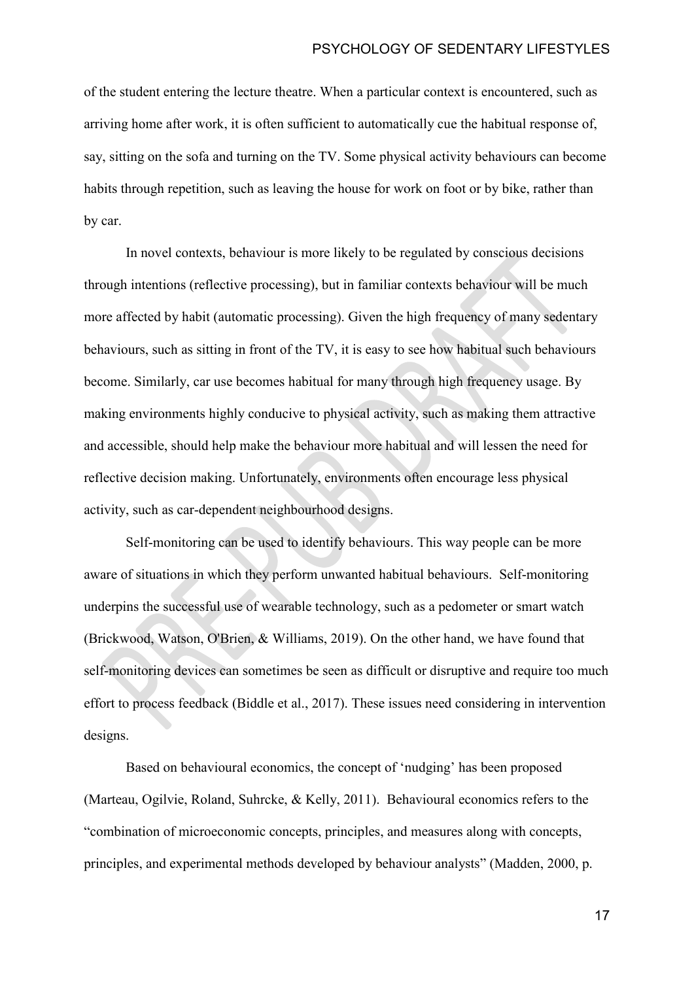of the student entering the lecture theatre. When a particular context is encountered, such as arriving home after work, it is often sufficient to automatically cue the habitual response of, say, sitting on the sofa and turning on the TV. Some physical activity behaviours can become habits through repetition, such as leaving the house for work on foot or by bike, rather than by car.

In novel contexts, behaviour is more likely to be regulated by conscious decisions through intentions (reflective processing), but in familiar contexts behaviour will be much more affected by habit (automatic processing). Given the high frequency of many sedentary behaviours, such as sitting in front of the TV, it is easy to see how habitual such behaviours become. Similarly, car use becomes habitual for many through high frequency usage. By making environments highly conducive to physical activity, such as making them attractive and accessible, should help make the behaviour more habitual and will lessen the need for reflective decision making. Unfortunately, environments often encourage less physical activity, such as car-dependent neighbourhood designs.

Self-monitoring can be used to identify behaviours. This way people can be more aware of situations in which they perform unwanted habitual behaviours. Self-monitoring underpins the successful use of wearable technology, such as a pedometer or smart watch (Brickwood, Watson, O'Brien, & Williams, 2019). On the other hand, we have found that self-monitoring devices can sometimes be seen as difficult or disruptive and require too much effort to process feedback (Biddle et al., 2017). These issues need considering in intervention designs.

Based on behavioural economics, the concept of 'nudging' has been proposed (Marteau, Ogilvie, Roland, Suhrcke, & Kelly, 2011). Behavioural economics refers to the "combination of microeconomic concepts, principles, and measures along with concepts, principles, and experimental methods developed by behaviour analysts" (Madden, 2000, p.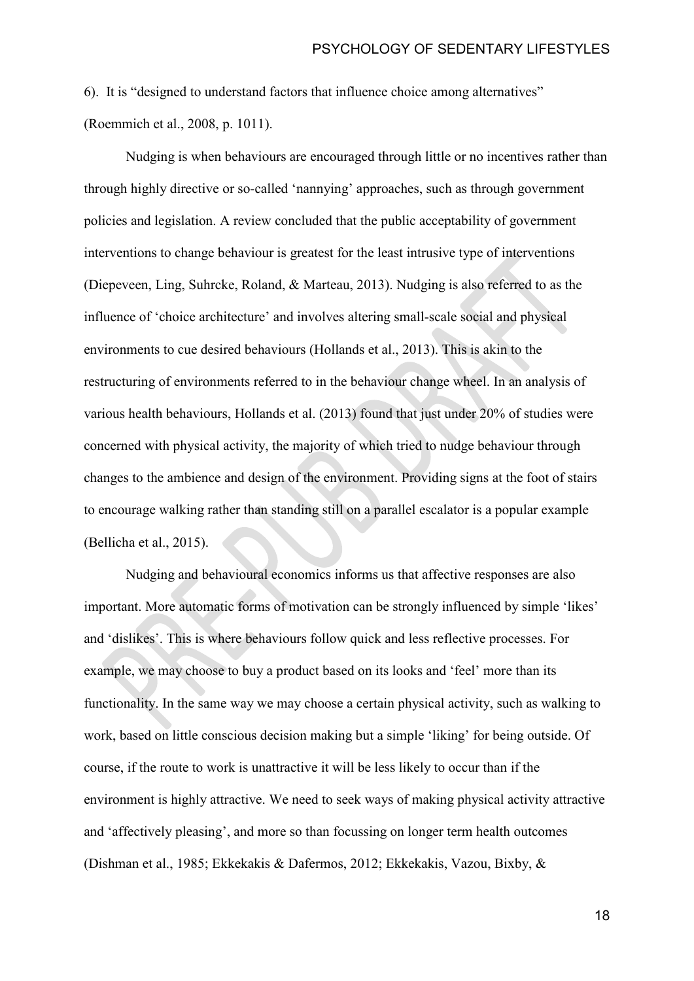6). It is "designed to understand factors that influence choice among alternatives" (Roemmich et al., 2008, p. 1011).

Nudging is when behaviours are encouraged through little or no incentives rather than through highly directive or so-called 'nannying' approaches, such as through government policies and legislation. A review concluded that the public acceptability of government interventions to change behaviour is greatest for the least intrusive type of interventions (Diepeveen, Ling, Suhrcke, Roland, & Marteau, 2013). Nudging is also referred to as the influence of 'choice architecture' and involves altering small-scale social and physical environments to cue desired behaviours (Hollands et al., 2013). This is akin to the restructuring of environments referred to in the behaviour change wheel. In an analysis of various health behaviours, Hollands et al. (2013) found that just under 20% of studies were concerned with physical activity, the majority of which tried to nudge behaviour through changes to the ambience and design of the environment. Providing signs at the foot of stairs to encourage walking rather than standing still on a parallel escalator is a popular example (Bellicha et al., 2015).

Nudging and behavioural economics informs us that affective responses are also important. More automatic forms of motivation can be strongly influenced by simple 'likes' and 'dislikes'. This is where behaviours follow quick and less reflective processes. For example, we may choose to buy a product based on its looks and 'feel' more than its functionality. In the same way we may choose a certain physical activity, such as walking to work, based on little conscious decision making but a simple 'liking' for being outside. Of course, if the route to work is unattractive it will be less likely to occur than if the environment is highly attractive. We need to seek ways of making physical activity attractive and 'affectively pleasing', and more so than focussing on longer term health outcomes (Dishman et al., 1985; Ekkekakis & Dafermos, 2012; Ekkekakis, Vazou, Bixby, &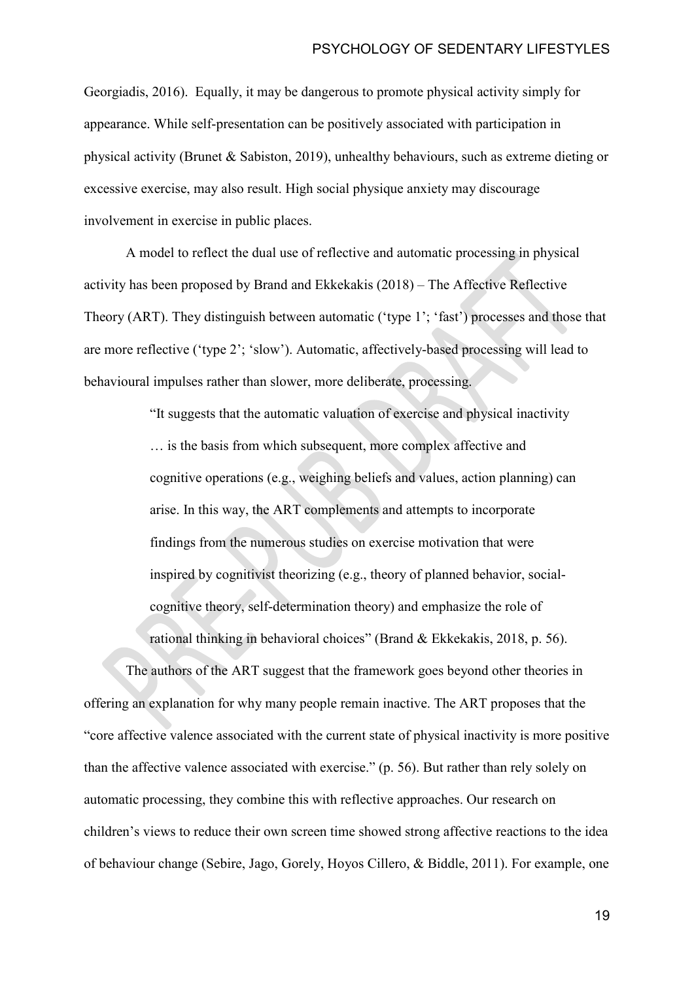Georgiadis, 2016). Equally, it may be dangerous to promote physical activity simply for appearance. While self-presentation can be positively associated with participation in physical activity (Brunet & Sabiston, 2019), unhealthy behaviours, such as extreme dieting or excessive exercise, may also result. High social physique anxiety may discourage involvement in exercise in public places.

A model to reflect the dual use of reflective and automatic processing in physical activity has been proposed by Brand and Ekkekakis (2018) – The Affective Reflective Theory (ART). They distinguish between automatic ('type 1'; 'fast') processes and those that are more reflective ('type 2'; 'slow'). Automatic, affectively-based processing will lead to behavioural impulses rather than slower, more deliberate, processing.

> "It suggests that the automatic valuation of exercise and physical inactivity … is the basis from which subsequent, more complex affective and cognitive operations (e.g., weighing beliefs and values, action planning) can arise. In this way, the ART complements and attempts to incorporate findings from the numerous studies on exercise motivation that were inspired by cognitivist theorizing (e.g., theory of planned behavior, socialcognitive theory, self-determination theory) and emphasize the role of rational thinking in behavioral choices" (Brand & Ekkekakis, 2018, p. 56).

The authors of the ART suggest that the framework goes beyond other theories in offering an explanation for why many people remain inactive. The ART proposes that the "core affective valence associated with the current state of physical inactivity is more positive than the affective valence associated with exercise." (p. 56). But rather than rely solely on automatic processing, they combine this with reflective approaches. Our research on children's views to reduce their own screen time showed strong affective reactions to the idea of behaviour change (Sebire, Jago, Gorely, Hoyos Cillero, & Biddle, 2011). For example, one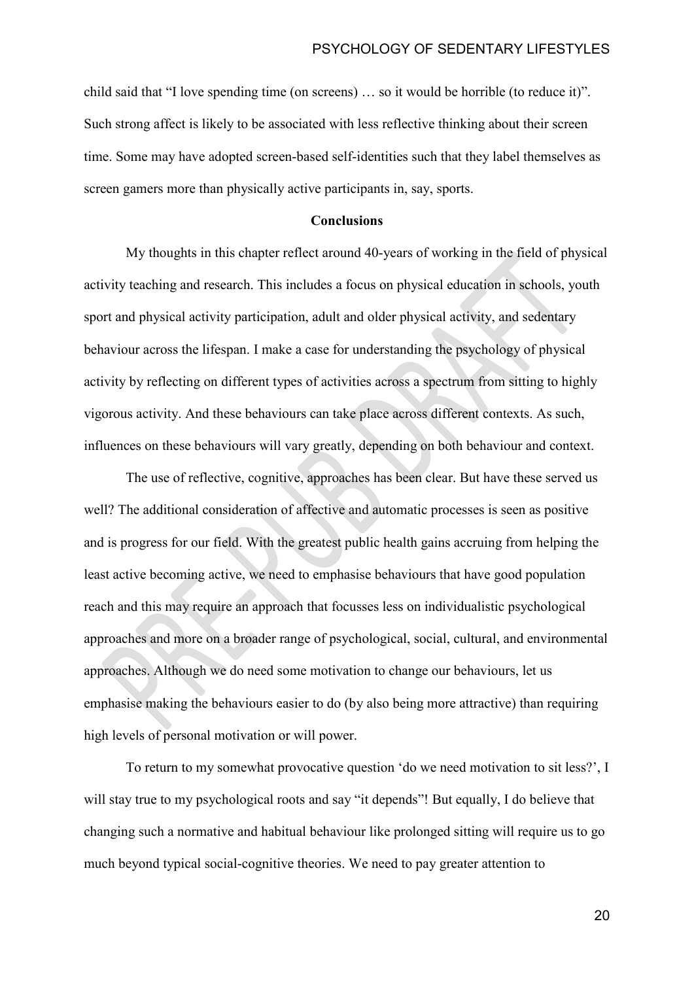child said that "I love spending time (on screens) … so it would be horrible (to reduce it)". Such strong affect is likely to be associated with less reflective thinking about their screen time. Some may have adopted screen-based self-identities such that they label themselves as screen gamers more than physically active participants in, say, sports.

#### **Conclusions**

My thoughts in this chapter reflect around 40-years of working in the field of physical activity teaching and research. This includes a focus on physical education in schools, youth sport and physical activity participation, adult and older physical activity, and sedentary behaviour across the lifespan. I make a case for understanding the psychology of physical activity by reflecting on different types of activities across a spectrum from sitting to highly vigorous activity. And these behaviours can take place across different contexts. As such, influences on these behaviours will vary greatly, depending on both behaviour and context.

The use of reflective, cognitive, approaches has been clear. But have these served us well? The additional consideration of affective and automatic processes is seen as positive and is progress for our field. With the greatest public health gains accruing from helping the least active becoming active, we need to emphasise behaviours that have good population reach and this may require an approach that focusses less on individualistic psychological approaches and more on a broader range of psychological, social, cultural, and environmental approaches. Although we do need some motivation to change our behaviours, let us emphasise making the behaviours easier to do (by also being more attractive) than requiring high levels of personal motivation or will power.

To return to my somewhat provocative question 'do we need motivation to sit less?', I will stay true to my psychological roots and say "it depends"! But equally, I do believe that changing such a normative and habitual behaviour like prolonged sitting will require us to go much beyond typical social-cognitive theories. We need to pay greater attention to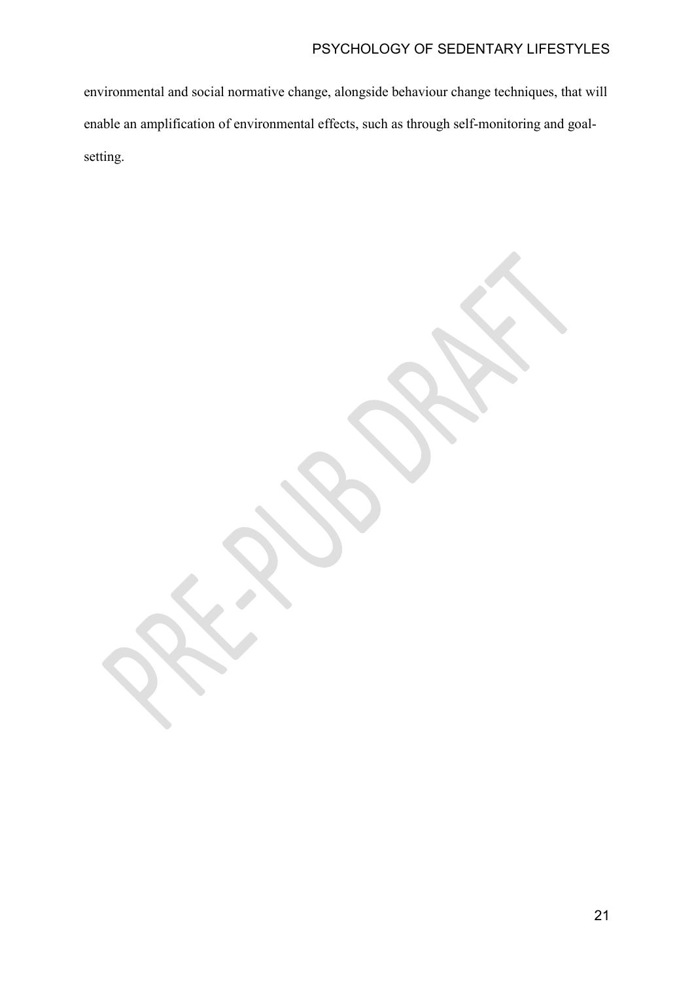# PSYCHOLOGY OF SEDENTARY LIFESTYLES

environmental and social normative change, alongside behaviour change techniques, that will enable an amplification of environmental effects, such as through self-monitoring and goalsetting.

21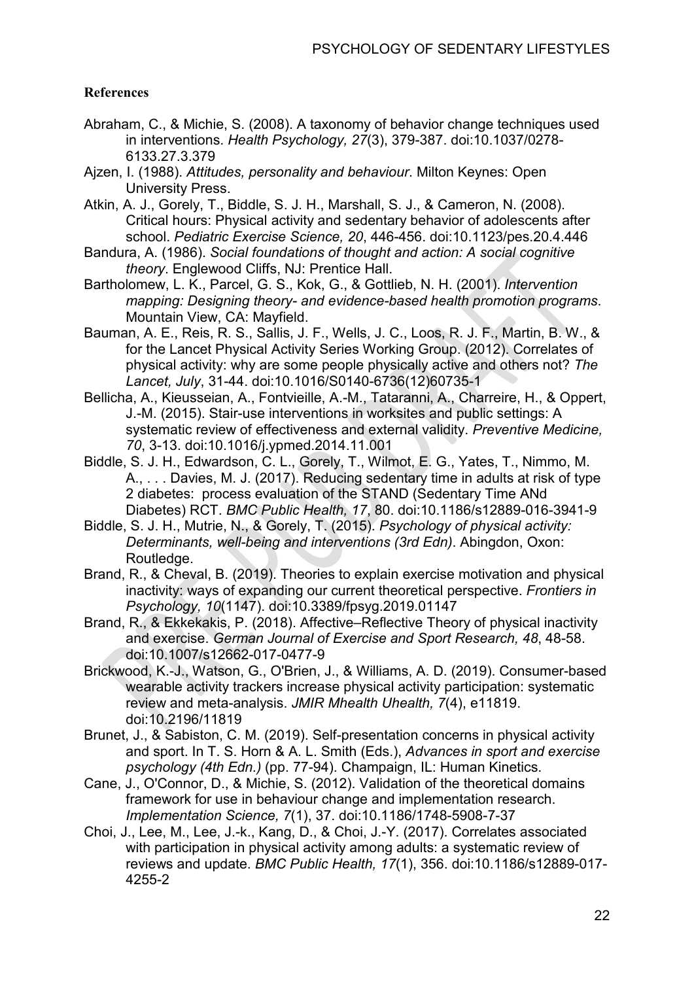# **References**

- Abraham, C., & Michie, S. (2008). A taxonomy of behavior change techniques used in interventions. *Health Psychology, 27*(3), 379-387. doi:10.1037/0278- 6133.27.3.379
- Ajzen, I. (1988). *Attitudes, personality and behaviour*. Milton Keynes: Open University Press.
- Atkin, A. J., Gorely, T., Biddle, S. J. H., Marshall, S. J., & Cameron, N. (2008). Critical hours: Physical activity and sedentary behavior of adolescents after school. *Pediatric Exercise Science, 20*, 446-456. doi:10.1123/pes.20.4.446
- Bandura, A. (1986). *Social foundations of thought and action: A social cognitive theory*. Englewood Cliffs, NJ: Prentice Hall.
- Bartholomew, L. K., Parcel, G. S., Kok, G., & Gottlieb, N. H. (2001). *Intervention mapping: Designing theory- and evidence-based health promotion programs*. Mountain View, CA: Mayfield.
- Bauman, A. E., Reis, R. S., Sallis, J. F., Wells, J. C., Loos, R. J. F., Martin, B. W., & for the Lancet Physical Activity Series Working Group. (2012). Correlates of physical activity: why are some people physically active and others not? *The Lancet, July*, 31-44. doi:10.1016/S0140-6736(12)60735-1
- Bellicha, A., Kieusseian, A., Fontvieille, A.-M., Tataranni, A., Charreire, H., & Oppert, J.-M. (2015). Stair-use interventions in worksites and public settings: A systematic review of effectiveness and external validity. *Preventive Medicine, 70*, 3-13. doi:10.1016/j.ypmed.2014.11.001
- Biddle, S. J. H., Edwardson, C. L., Gorely, T., Wilmot, E. G., Yates, T., Nimmo, M. A., . . . Davies, M. J. (2017). Reducing sedentary time in adults at risk of type 2 diabetes: process evaluation of the STAND (Sedentary Time ANd Diabetes) RCT. *BMC Public Health, 17*, 80. doi:10.1186/s12889-016-3941-9
- Biddle, S. J. H., Mutrie, N., & Gorely, T. (2015). *Psychology of physical activity: Determinants, well-being and interventions (3rd Edn)*. Abingdon, Oxon: Routledge.
- Brand, R., & Cheval, B. (2019). Theories to explain exercise motivation and physical inactivity: ways of expanding our current theoretical perspective. *Frontiers in Psychology, 10*(1147). doi:10.3389/fpsyg.2019.01147
- Brand, R., & Ekkekakis, P. (2018). Affective–Reflective Theory of physical inactivity and exercise. *German Journal of Exercise and Sport Research, 48*, 48-58. doi:10.1007/s12662-017-0477-9
- Brickwood, K.-J., Watson, G., O'Brien, J., & Williams, A. D. (2019). Consumer-based wearable activity trackers increase physical activity participation: systematic review and meta-analysis. *JMIR Mhealth Uhealth, 7*(4), e11819. doi:10.2196/11819
- Brunet, J., & Sabiston, C. M. (2019). Self-presentation concerns in physical activity and sport. In T. S. Horn & A. L. Smith (Eds.), *Advances in sport and exercise psychology (4th Edn.)* (pp. 77-94). Champaign, IL: Human Kinetics.
- Cane, J., O'Connor, D., & Michie, S. (2012). Validation of the theoretical domains framework for use in behaviour change and implementation research. *Implementation Science, 7*(1), 37. doi:10.1186/1748-5908-7-37
- Choi, J., Lee, M., Lee, J.-k., Kang, D., & Choi, J.-Y. (2017). Correlates associated with participation in physical activity among adults: a systematic review of reviews and update. *BMC Public Health, 17*(1), 356. doi:10.1186/s12889-017- 4255-2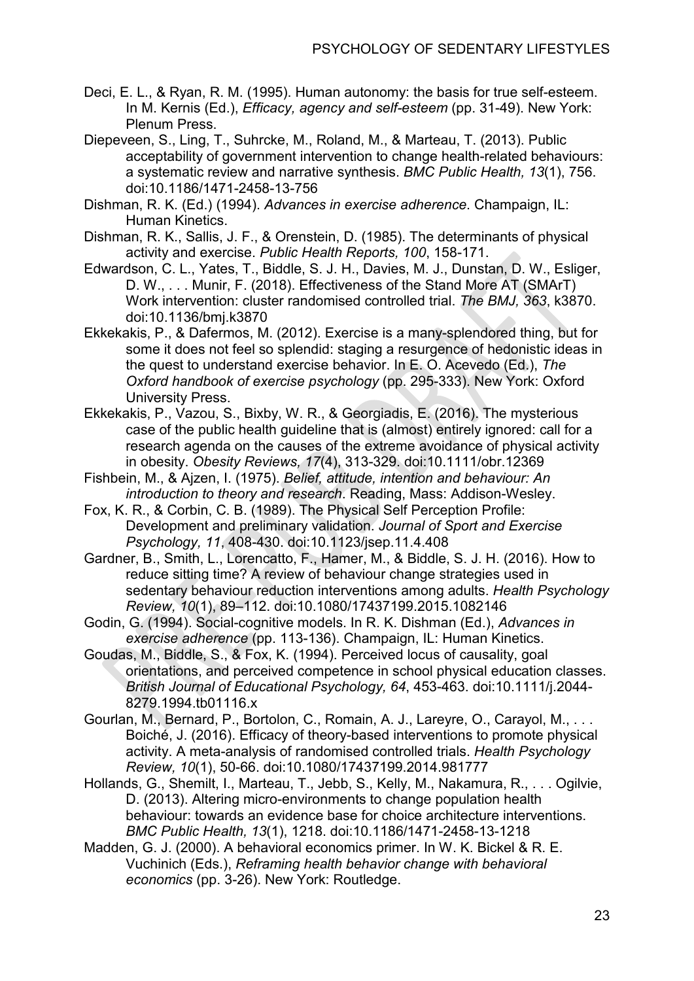- Deci, E. L., & Ryan, R. M. (1995). Human autonomy: the basis for true self-esteem. In M. Kernis (Ed.), *Efficacy, agency and self-esteem* (pp. 31-49). New York: Plenum Press.
- Diepeveen, S., Ling, T., Suhrcke, M., Roland, M., & Marteau, T. (2013). Public acceptability of government intervention to change health-related behaviours: a systematic review and narrative synthesis. *BMC Public Health, 13*(1), 756. doi:10.1186/1471-2458-13-756
- Dishman, R. K. (Ed.) (1994). *Advances in exercise adherence*. Champaign, IL: Human Kinetics.
- Dishman, R. K., Sallis, J. F., & Orenstein, D. (1985). The determinants of physical activity and exercise. *Public Health Reports, 100*, 158-171.
- Edwardson, C. L., Yates, T., Biddle, S. J. H., Davies, M. J., Dunstan, D. W., Esliger, D. W., . . . Munir, F. (2018). Effectiveness of the Stand More AT (SMArT) Work intervention: cluster randomised controlled trial. *The BMJ, 363*, k3870. doi:10.1136/bmj.k3870
- Ekkekakis, P., & Dafermos, M. (2012). Exercise is a many-splendored thing, but for some it does not feel so splendid: staging a resurgence of hedonistic ideas in the quest to understand exercise behavior. In E. O. Acevedo (Ed.), *The Oxford handbook of exercise psychology* (pp. 295-333). New York: Oxford University Press.
- Ekkekakis, P., Vazou, S., Bixby, W. R., & Georgiadis, E. (2016). The mysterious case of the public health guideline that is (almost) entirely ignored: call for a research agenda on the causes of the extreme avoidance of physical activity in obesity. *Obesity Reviews, 17*(4), 313-329. doi:10.1111/obr.12369
- Fishbein, M., & Ajzen, I. (1975). *Belief, attitude, intention and behaviour: An introduction to theory and research*. Reading, Mass: Addison-Wesley.
- Fox, K. R., & Corbin, C. B. (1989). The Physical Self Perception Profile: Development and preliminary validation. *Journal of Sport and Exercise Psychology, 11*, 408-430. doi:10.1123/jsep.11.4.408
- Gardner, B., Smith, L., Lorencatto, F., Hamer, M., & Biddle, S. J. H. (2016). How to reduce sitting time? A review of behaviour change strategies used in sedentary behaviour reduction interventions among adults. *Health Psychology Review, 10*(1), 89–112. doi:10.1080/17437199.2015.1082146
- Godin, G. (1994). Social-cognitive models. In R. K. Dishman (Ed.), *Advances in exercise adherence* (pp. 113-136). Champaign, IL: Human Kinetics.
- Goudas, M., Biddle, S., & Fox, K. (1994). Perceived locus of causality, goal orientations, and perceived competence in school physical education classes. *British Journal of Educational Psychology, 64*, 453-463. doi:10.1111/j.2044- 8279.1994.tb01116.x
- Gourlan, M., Bernard, P., Bortolon, C., Romain, A. J., Lareyre, O., Carayol, M., . . . Boiché, J. (2016). Efficacy of theory-based interventions to promote physical activity. A meta-analysis of randomised controlled trials. *Health Psychology Review, 10*(1), 50-66. doi:10.1080/17437199.2014.981777
- Hollands, G., Shemilt, I., Marteau, T., Jebb, S., Kelly, M., Nakamura, R., . . . Ogilvie, D. (2013). Altering micro-environments to change population health behaviour: towards an evidence base for choice architecture interventions. *BMC Public Health, 13*(1), 1218. doi:10.1186/1471-2458-13-1218
- Madden, G. J. (2000). A behavioral economics primer. In W. K. Bickel & R. E. Vuchinich (Eds.), *Reframing health behavior change with behavioral economics* (pp. 3-26). New York: Routledge.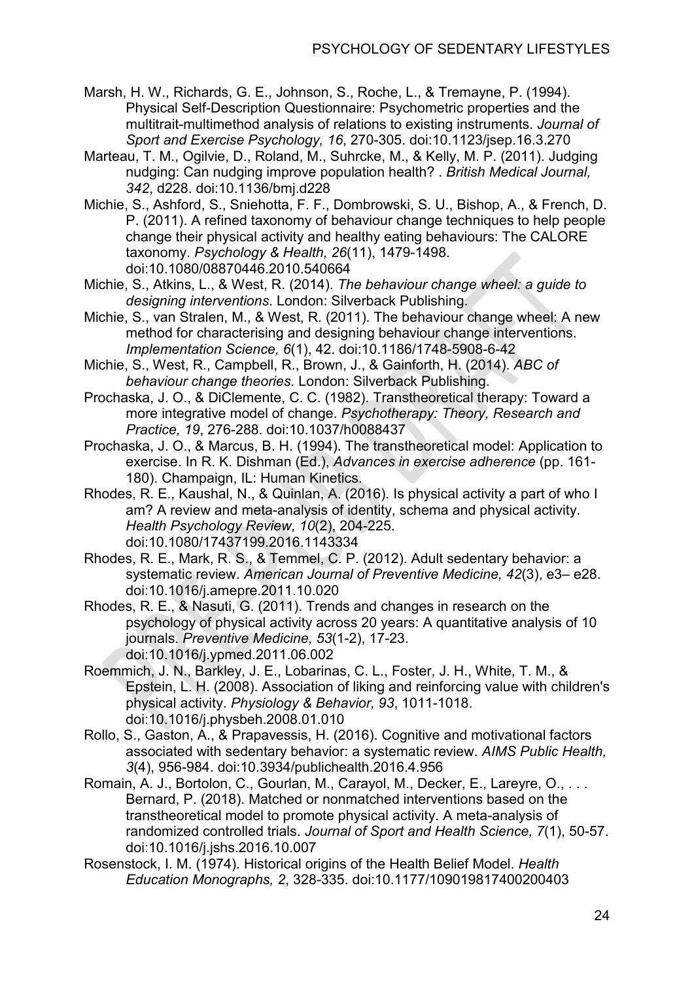- Marsh, H. W., Richards, G. E., Johnson, S., Roche, L., & Tremayne, P. (1994). Physical Self-Description Questionnaire: Psychometric properties and the multitrait-multimethod analysis of relations to existing instruments. *Journal of Sport and Exercise Psychology, 16*, 270-305. doi:10.1123/jsep.16.3.270
- Marteau, T. M., Ogilvie, D., Roland, M., Suhrcke, M., & Kelly, M. P. (2011). Judging nudging: Can nudging improve population health? . *British Medical Journal, 342*, d228. doi:10.1136/bmj.d228
- Michie, S., Ashford, S., Sniehotta, F. F., Dombrowski, S. U., Bishop, A., & French, D. P. (2011). A refined taxonomy of behaviour change techniques to help people change their physical activity and healthy eating behaviours: The CALORE taxonomy. *Psychology & Health, 26*(11), 1479-1498. doi:10.1080/08870446.2010.540664
- Michie, S., Atkins, L., & West, R. (2014). *The behaviour change wheel: a guide to designing interventions*. London: Silverback Publishing.
- Michie, S., van Stralen, M., & West, R. (2011). The behaviour change wheel: A new method for characterising and designing behaviour change interventions. *Implementation Science, 6*(1), 42. doi:10.1186/1748-5908-6-42
- Michie, S., West, R., Campbell, R., Brown, J., & Gainforth, H. (2014). *ABC of behaviour change theories*. London: Silverback Publishing.
- Prochaska, J. O., & DiClemente, C. C. (1982). Transtheoretical therapy: Toward a more integrative model of change. *Psychotherapy: Theory, Research and Practice, 19*, 276-288. doi:10.1037/h0088437
- Prochaska, J. O., & Marcus, B. H. (1994). The transtheoretical model: Application to exercise. In R. K. Dishman (Ed.), *Advances in exercise adherence* (pp. 161- 180). Champaign, IL: Human Kinetics.
- Rhodes, R. E., Kaushal, N., & Quinlan, A. (2016). Is physical activity a part of who I am? A review and meta-analysis of identity, schema and physical activity. *Health Psychology Review, 10*(2), 204-225. doi:10.1080/17437199.2016.1143334
- Rhodes, R. E., Mark, R. S., & Temmel, C. P. (2012). Adult sedentary behavior: a systematic review. *American Journal of Preventive Medicine, 42*(3), e3– e28. doi:10.1016/j.amepre.2011.10.020
- Rhodes, R. E., & Nasuti, G. (2011). Trends and changes in research on the psychology of physical activity across 20 years: A quantitative analysis of 10 journals. *Preventive Medicine, 53*(1-2), 17-23. doi:10.1016/j.ypmed.2011.06.002
- Roemmich, J. N., Barkley, J. E., Lobarinas, C. L., Foster, J. H., White, T. M., & Epstein, L. H. (2008). Association of liking and reinforcing value with children's physical activity. *Physiology & Behavior, 93*, 1011-1018. doi:10.1016/j.physbeh.2008.01.010
- Rollo, S., Gaston, A., & Prapavessis, H. (2016). Cognitive and motivational factors associated with sedentary behavior: a systematic review. *AIMS Public Health, 3*(4), 956-984. doi:10.3934/publichealth.2016.4.956
- Romain, A. J., Bortolon, C., Gourlan, M., Carayol, M., Decker, E., Lareyre, O., . . . Bernard, P. (2018). Matched or nonmatched interventions based on the transtheoretical model to promote physical activity. A meta-analysis of randomized controlled trials. *Journal of Sport and Health Science, 7*(1), 50-57. doi:10.1016/j.jshs.2016.10.007
- Rosenstock, I. M. (1974). Historical origins of the Health Belief Model. *Health Education Monographs, 2*, 328-335. doi:10.1177/109019817400200403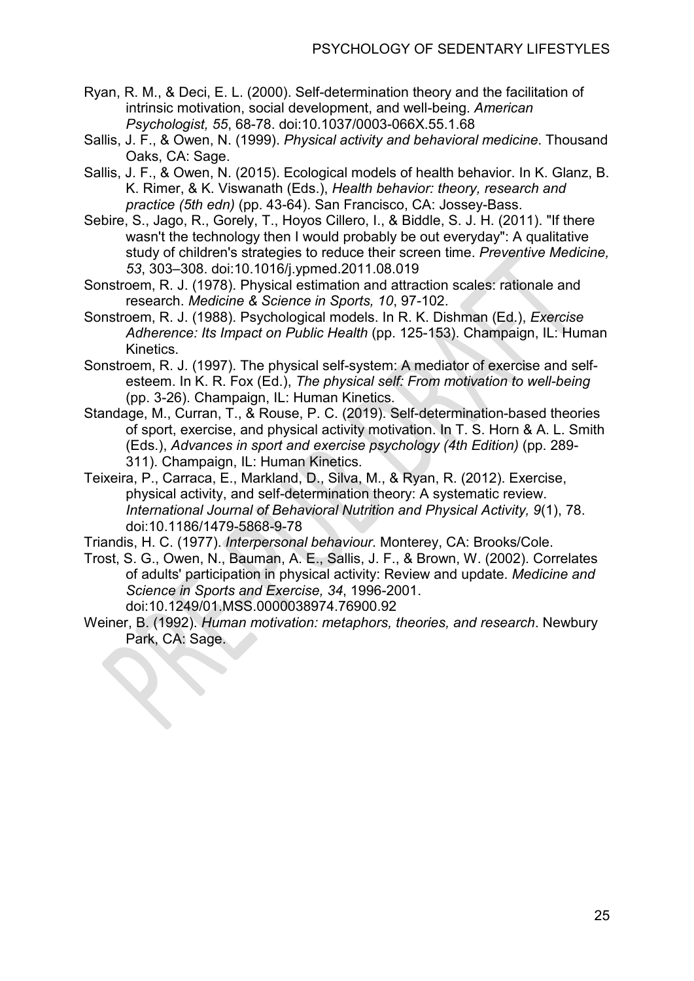- Ryan, R. M., & Deci, E. L. (2000). Self-determination theory and the facilitation of intrinsic motivation, social development, and well-being. *American Psychologist, 55*, 68-78. doi:10.1037/0003-066X.55.1.68
- Sallis, J. F., & Owen, N. (1999). *Physical activity and behavioral medicine*. Thousand Oaks, CA: Sage.
- Sallis, J. F., & Owen, N. (2015). Ecological models of health behavior. In K. Glanz, B. K. Rimer, & K. Viswanath (Eds.), *Health behavior: theory, research and practice (5th edn)* (pp. 43-64). San Francisco, CA: Jossey-Bass.
- Sebire, S., Jago, R., Gorely, T., Hoyos Cillero, I., & Biddle, S. J. H. (2011). "If there wasn't the technology then I would probably be out everyday": A qualitative study of children's strategies to reduce their screen time. *Preventive Medicine, 53*, 303–308. doi:10.1016/j.ypmed.2011.08.019
- Sonstroem, R. J. (1978). Physical estimation and attraction scales: rationale and research. *Medicine & Science in Sports, 10*, 97-102.
- Sonstroem, R. J. (1988). Psychological models. In R. K. Dishman (Ed.), *Exercise Adherence: Its Impact on Public Health* (pp. 125-153). Champaign, IL: Human Kinetics.
- Sonstroem, R. J. (1997). The physical self-system: A mediator of exercise and selfesteem. In K. R. Fox (Ed.), *The physical self: From motivation to well-being* (pp. 3-26). Champaign, IL: Human Kinetics.
- Standage, M., Curran, T., & Rouse, P. C. (2019). Self-determination-based theories of sport, exercise, and physical activity motivation. In T. S. Horn & A. L. Smith (Eds.), *Advances in sport and exercise psychology (4th Edition)* (pp. 289- 311). Champaign, IL: Human Kinetics.
- Teixeira, P., Carraca, E., Markland, D., Silva, M., & Ryan, R. (2012). Exercise, physical activity, and self-determination theory: A systematic review. *International Journal of Behavioral Nutrition and Physical Activity, 9*(1), 78. doi:10.1186/1479-5868-9-78
- Triandis, H. C. (1977). *Interpersonal behaviour*. Monterey, CA: Brooks/Cole.
- Trost, S. G., Owen, N., Bauman, A. E., Sallis, J. F., & Brown, W. (2002). Correlates of adults' participation in physical activity: Review and update. *Medicine and Science in Sports and Exercise, 34*, 1996-2001. doi:10.1249/01.MSS.0000038974.76900.92
- Weiner, B. (1992). *Human motivation: metaphors, theories, and research*. Newbury Park, CA: Sage.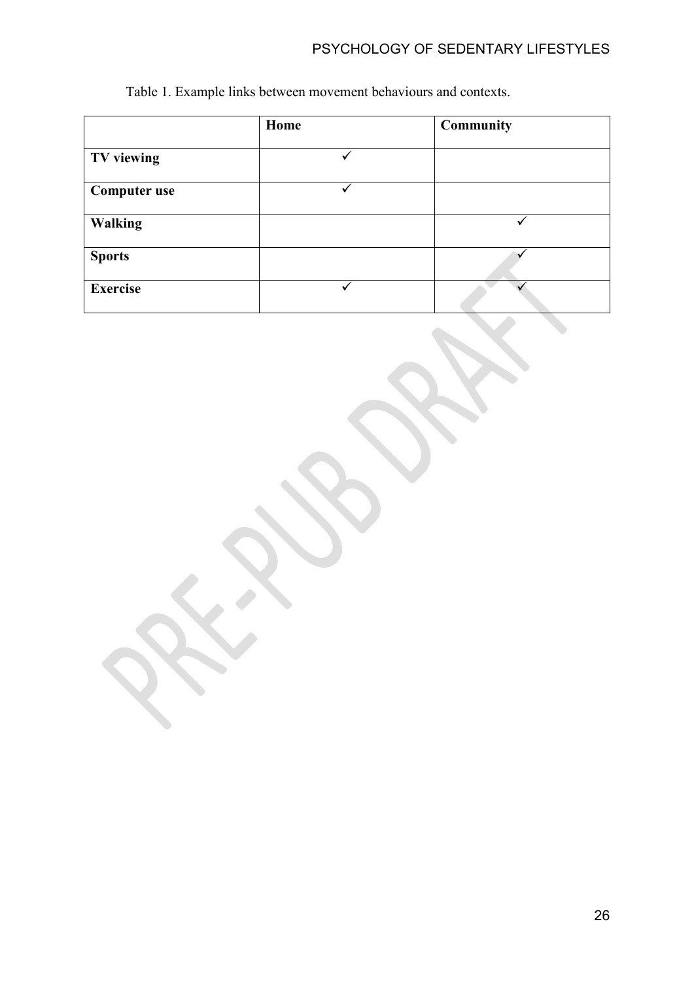# PSYCHOLOGY OF SEDENTARY LIFESTYLES

| Table 1. Example links between movement behaviours and contexts. |  |
|------------------------------------------------------------------|--|
|------------------------------------------------------------------|--|

|                     | Home | <b>Community</b> |  |  |
|---------------------|------|------------------|--|--|
| TV viewing          |      |                  |  |  |
| <b>Computer use</b> |      |                  |  |  |
| <b>Walking</b>      |      |                  |  |  |
| <b>Sports</b>       |      |                  |  |  |
| <b>Exercise</b>     |      |                  |  |  |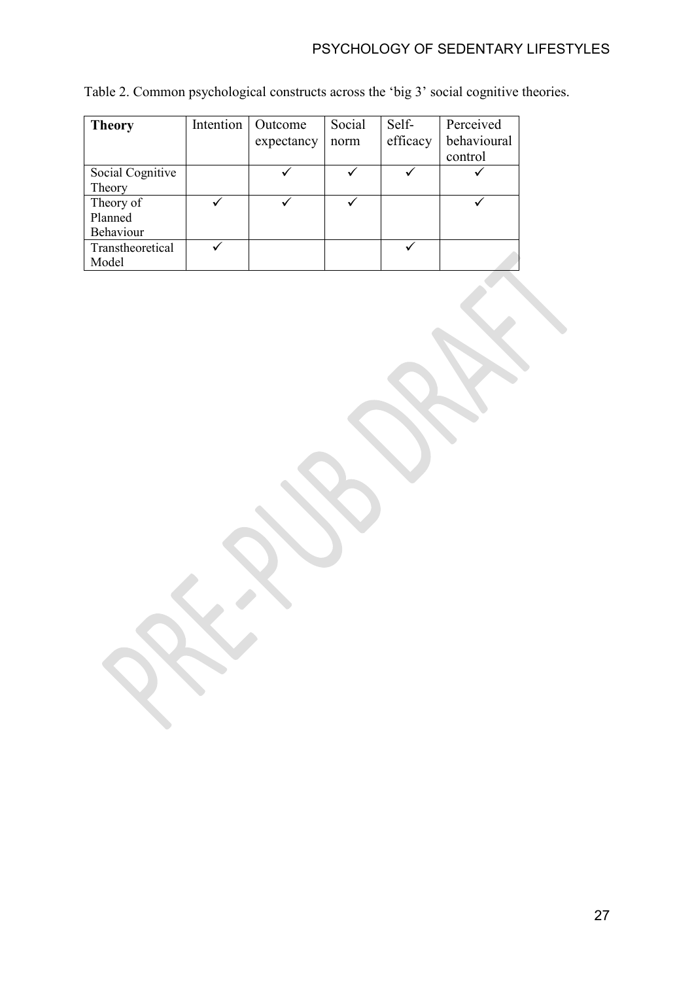| <b>Theory</b>    | Intention | Outcome    | Social | Self-    | Perceived   |
|------------------|-----------|------------|--------|----------|-------------|
|                  |           | expectancy | norm   | efficacy | behavioural |
|                  |           |            |        |          | control     |
| Social Cognitive |           |            |        |          |             |
| Theory           |           |            |        |          |             |
| Theory of        |           |            |        |          |             |
| Planned          |           |            |        |          |             |
| Behaviour        |           |            |        |          |             |
| Transtheoretical |           |            |        |          |             |
| Model            |           |            |        |          |             |

Table 2. Common psychological constructs across the 'big 3' social cognitive theories.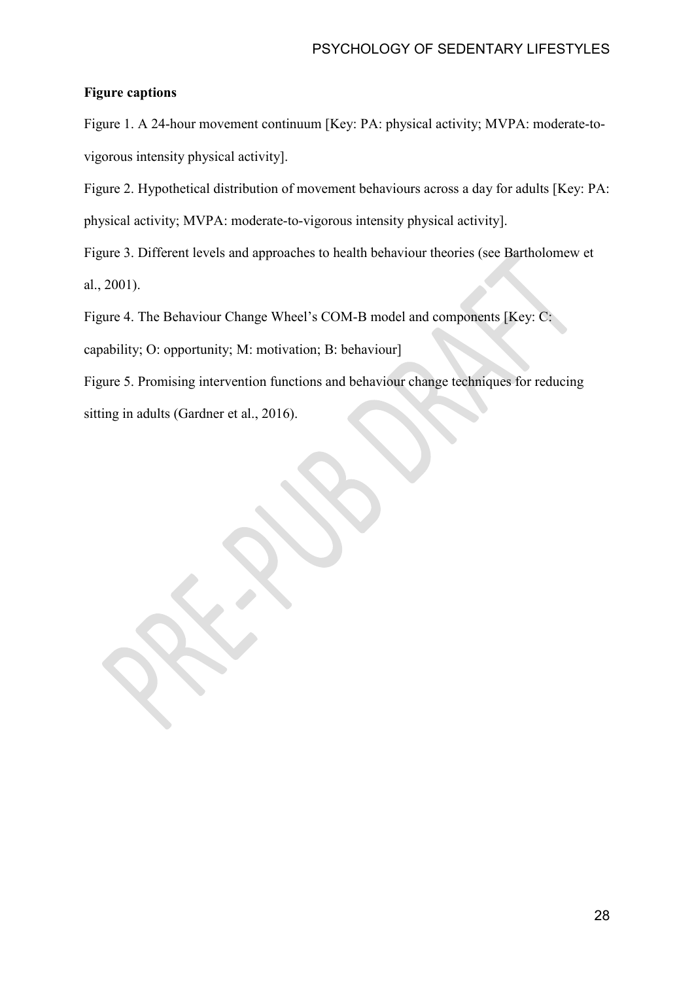## **Figure captions**

Figure 1. A 24-hour movement continuum [Key: PA: physical activity; MVPA: moderate-tovigorous intensity physical activity].

Figure 2. Hypothetical distribution of movement behaviours across a day for adults [Key: PA: physical activity; MVPA: moderate-to-vigorous intensity physical activity].

Figure 3. Different levels and approaches to health behaviour theories (see Bartholomew et al., 2001).

Figure 4. The Behaviour Change Wheel's COM-B model and components [Key: C:

capability; O: opportunity; M: motivation; B: behaviour]

Figure 5. Promising intervention functions and behaviour change techniques for reducing sitting in adults (Gardner et al., 2016).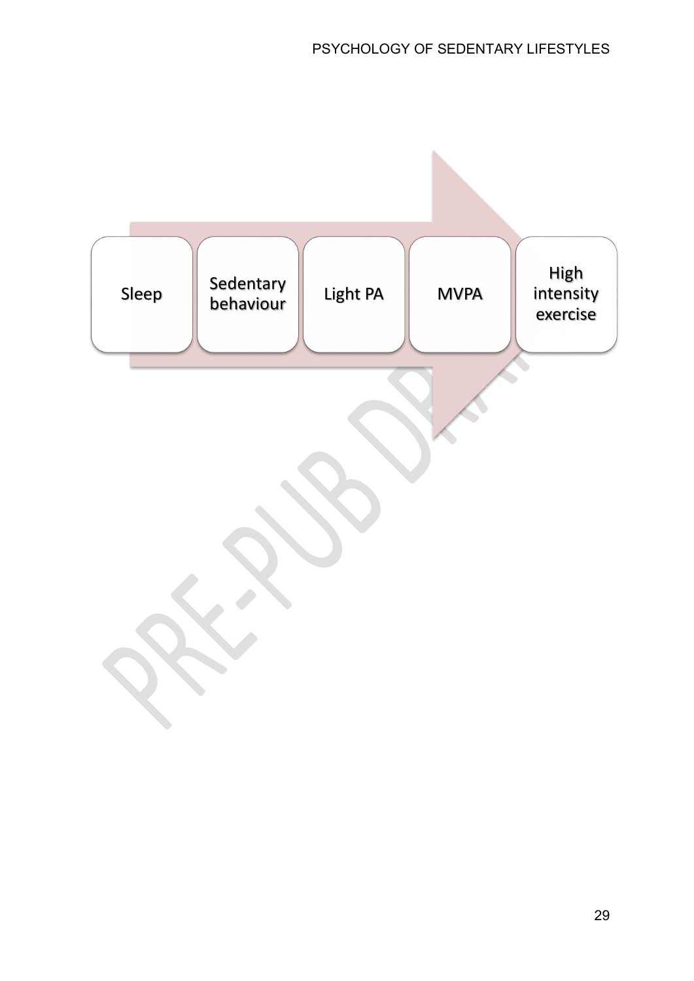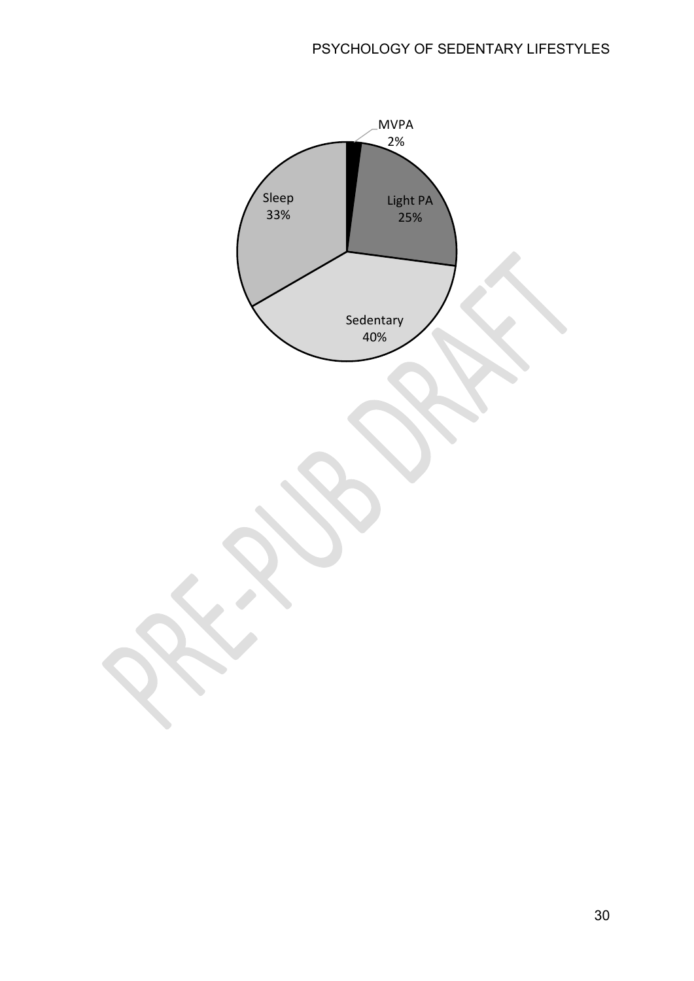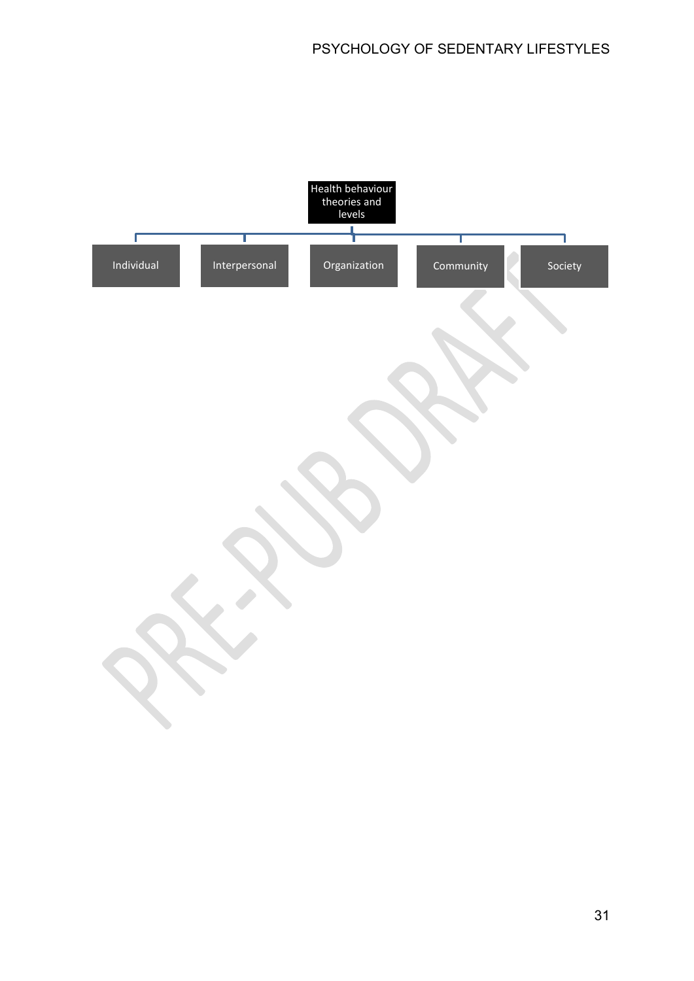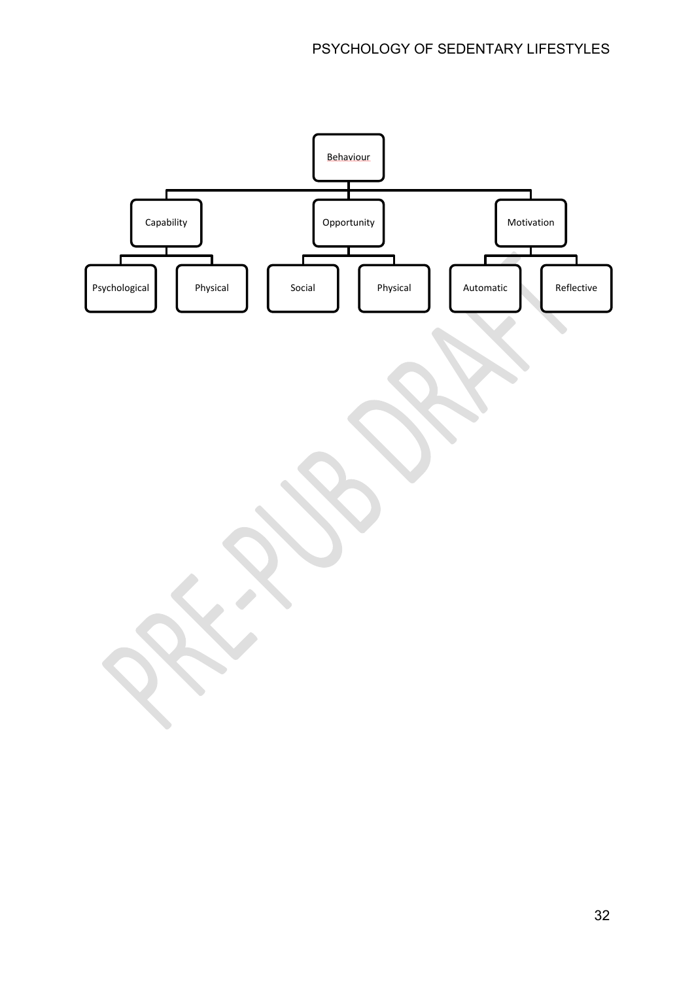